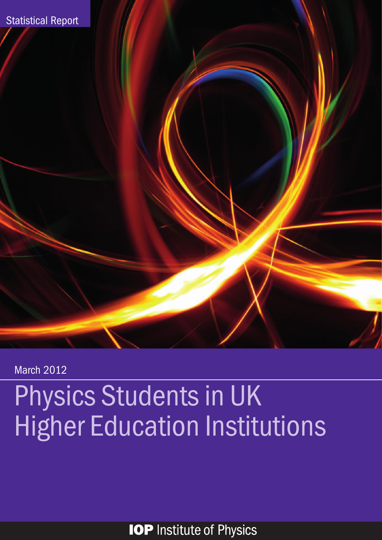

March 2012

# Physics Students in UK Higher Education Institutions

**IOP** Institute of Physics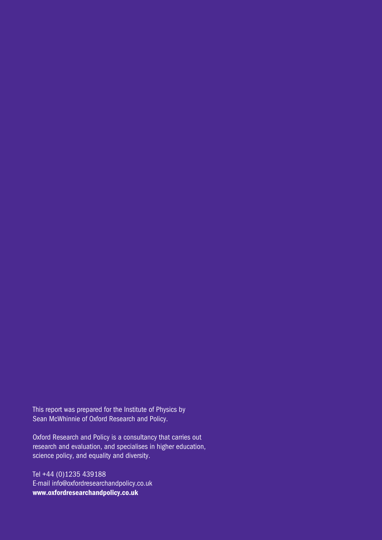This report was prepared for the Institute of Physics by Sean McWhinnie of Oxford Research and Policy.

Oxford Research and Policy is a consultancy that carries out research and evaluation, and specialises in higher education, science policy, and equality and diversity.

Tel +44 (0)1235 439188 E-mail info@oxfordresearchandpolicy.co.uk www.oxfordresearchandpolicy.co.uk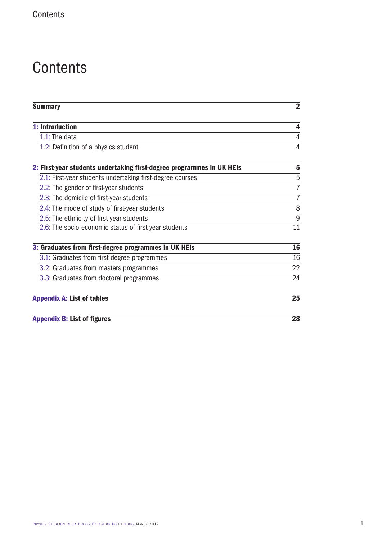## **Contents**

| <b>Summary</b>                                                        | $\overline{2}$   |
|-----------------------------------------------------------------------|------------------|
| 1: Introduction                                                       | 4                |
| $1.1$ : The data                                                      | 4                |
| 1.2: Definition of a physics student                                  | 4                |
| 2: First-year students undertaking first-degree programmes in UK HEIs | 5                |
| 2.1: First-year students undertaking first-degree courses             | 5                |
| 2.2: The gender of first-year students                                | $\overline{7}$   |
| 2.3: The domicile of first-year students                              | $\overline{7}$   |
| 2.4: The mode of study of first-year students                         | 8                |
| 2.5: The ethnicity of first-year students                             | $\boldsymbol{9}$ |
| 2.6: The socio-economic status of first-year students                 | 11               |
| 3: Graduates from first-degree programmes in UK HEIs                  | 16               |
| 3.1: Graduates from first-degree programmes                           | 16               |
| 3.2: Graduates from masters programmes                                | 22               |
| 3.3: Graduates from doctoral programmes                               | 24               |
| <b>Appendix A: List of tables</b>                                     | 25               |
| <b>Appendix B: List of figures</b>                                    | 28               |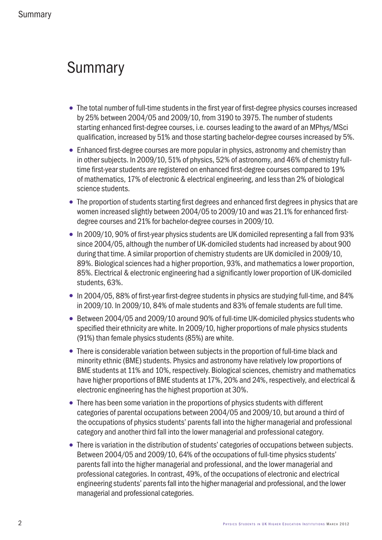## **Summary**

- The total number of full-time students in the first year of first-degree physics courses increased by 25% between 2004/05 and 2009/10, from 3190 to 3975. The number of students starting enhanced first-degree courses, i.e. courses leading to the award of an MPhys/MSci qualification, increased by 51% and those starting bachelor-degree courses increased by 5%.
- Enhanced first-degree courses are more popular in physics, astronomy and chemistry than in other subjects. In 2009/10, 51% of physics, 52% of astronomy, and 46% of chemistry fulltime first-year students are registered on enhanced first-degree courses compared to 19% of mathematics, 17% of electronic & electrical engineering, and less than 2% of biological science students.
- The proportion of students starting first degrees and enhanced first degrees in physics that are women increased slightly between 2004/05 to 2009/10 and was 21.1% for enhanced firstdegree courses and 21% for bachelor-degree courses in 2009/10.
- In 2009/10, 90% of first-year physics students are UK domiciled representing a fall from 93% since 2004/05, although the number of UK-domiciled students had increased by about 900 during that time. A similar proportion of chemistry students are UK domiciled in 2009/10, 89%. Biological sciences had a higher proportion, 93%, and mathematics a lower proportion, 85%. Electrical & electronic engineering had a significantly lower proportion of UK-domiciled students, 63%.
- In 2004/05, 88% of first-year first-degree students in physics are studying full-time, and 84% in 2009/10. In 2009/10, 84% of male students and 83% of female students are full time.
- Between 2004/05 and 2009/10 around 90% of full-time UK-domiciled physics students who specified their ethnicity are white. In 2009/10, higher proportions of male physics students (91%) than female physics students (85%) are white.
- There is considerable variation between subjects in the proportion of full-time black and minority ethnic (BME) students. Physics and astronomy have relatively low proportions of BME students at 11% and 10%, respectively. Biological sciences, chemistry and mathematics have higher proportions of BME students at 17%, 20% and 24%, respectively, and electrical & electronic engineering has the highest proportion at 30%.
- There has been some variation in the proportions of physics students with different categories of parental occupations between 2004/05 and 2009/10, but around a third of the occupations of physics students' parents fall into the higher managerial and professional category and another third fall into the lower managerial and professional category.
- There is variation in the distribution of students' categories of occupations between subjects. Between 2004/05 and 2009/10, 64% of the occupations of full-time physics students' parents fall into the higher managerial and professional, and the lower managerial and professional categories. In contrast, 49%, of the occupations of electronic and electrical engineering students' parents fall into the higher managerial and professional, and the lower managerial and professional categories.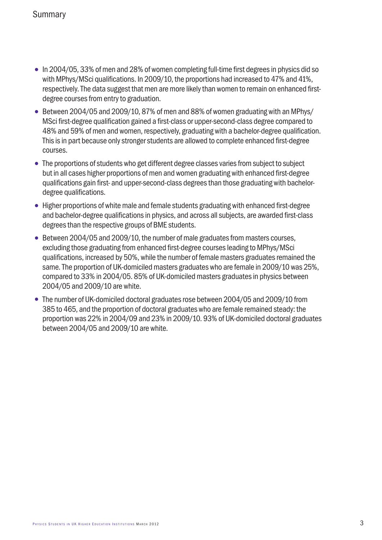- In 2004/05, 33% of men and 28% of women completing full-time first degrees in physics did so with MPhys/MSci qualifications. In 2009/10, the proportions had increased to 47% and 41%, respectively. The data suggest that men are more likely than women to remain on enhanced firstdegree courses from entry to graduation.
- Between 2004/05 and 2009/10, 87% of men and 88% of women graduating with an MPhys/ MSci first-degree qualification gained a first-class or upper-second-class degree compared to 48% and 59% of men and women, respectively, graduating with a bachelor-degree qualification. This is in part because only stronger students are allowed to complete enhanced first-degree courses.
- The proportions of students who get different degree classes varies from subject to subject but in all cases higher proportions of men and women graduating with enhanced first-degree qualifications gain first- and upper-second-class degrees than those graduating with bachelordegree qualifications.
- Higher proportions of white male and female students graduating with enhanced first-degree and bachelor-degree qualifications in physics, and across all subjects, are awarded first-class degrees than the respective groups of BME students.
- Between 2004/05 and 2009/10, the number of male graduates from masters courses, excluding those graduating from enhanced first-degree courses leading to MPhys/MSci qualifications, increased by 50%, while the number of female masters graduates remained the same. The proportion of UK-domiciled masters graduates who are female in 2009/10 was 25%, compared to 33% in 2004/05. 85% of UK-domiciled masters graduates in physics between 2004/05 and 2009/10 are white.
- The number of UK-domiciled doctoral graduates rose between 2004/05 and 2009/10 from 385 to 465, and the proportion of doctoral graduates who are female remained steady: the proportion was 22% in 2004/09 and 23% in 2009/10. 93% of UK-domiciled doctoral graduates between 2004/05 and 2009/10 are white.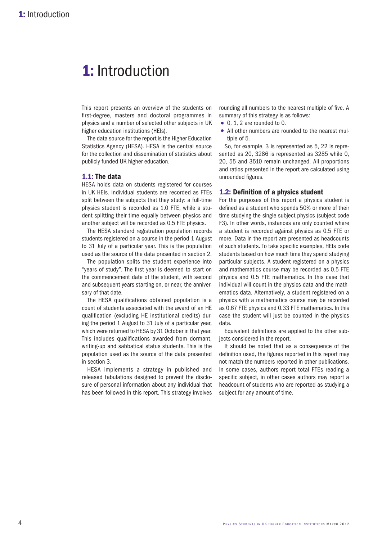## 1: Introduction

This report presents an overview of the students on first-degree, masters and doctoral programmes in physics and a number of selected other subjects in UK higher education institutions (HEIs).

The data source for the report is the Higher Education Statistics Agency (HESA). HESA is the central source for the collection and dissemination of statistics about publicly funded UK higher education.

#### 1.1: The data

HESA holds data on students registered for courses in UK HEIs. Individual students are recorded as FTEs split between the subjects that they study: a full-time physics student is recorded as 1.0 FTE, while a student splitting their time equally between physics and another subject will be recorded as 0.5 FTE physics.

The HESA standard registration population records students registered on a course in the period 1 August to 31 July of a particular year. This is the population used as the source of the data presented in section 2.

The population splits the student experience into "years of study". The first year is deemed to start on the commencement date of the student, with second and subsequent years starting on, or near, the anniversary of that date.

The HESA qualifications obtained population is a count of students associated with the award of an HE qualification (excluding HE institutional credits) during the period 1 August to 31 July of a particular year, which were returned to HESA by 31 October in that year. This includes qualifications awarded from dormant, writing-up and sabbatical status students. This is the population used as the source of the data presented in section 3.

HESA implements a strategy in published and released tabulations designed to prevent the disclosure of personal information about any individual that has been followed in this report. This strategy involves rounding all numbers to the nearest multiple of five. A summary of this strategy is as follows:

- 0, 1, 2 are rounded to 0.
- All other numbers are rounded to the nearest multiple of 5.

So, for example, 3 is represented as 5, 22 is represented as 20, 3286 is represented as 3285 while 0, 20, 55 and 3510 remain unchanged. All proportions and ratios presented in the report are calculated using unrounded figures.

#### 1.2: Definition of a physics student

For the purposes of this report a physics student is defined as a student who spends 50% or more of their time studying the single subject physics (subject code F3). In other words, instances are only counted where a student is recorded against physics as 0.5 FTE or more. Data in the report are presented as headcounts of such students. To take specific examples, HEIs code students based on how much time they spend studying particular subjects. A student registered on a physics and mathematics course may be recorded as 0.5 FTE physics and 0.5 FTE mathematics. In this case that individual will count in the physics data and the mathematics data. Alternatively, a student registered on a physics with a mathematics course may be recorded as 0.67 FTE physics and 0.33 FTE mathematics. In this case the student will just be counted in the physics data.

Equivalent definitions are applied to the other subjects considered in the report.

It should be noted that as a consequence of the definition used, the figures reported in this report may not match the numbers reported in other publications. In some cases, authors report total FTEs reading a specific subject, in other cases authors may report a headcount of students who are reported as studying a subject for any amount of time.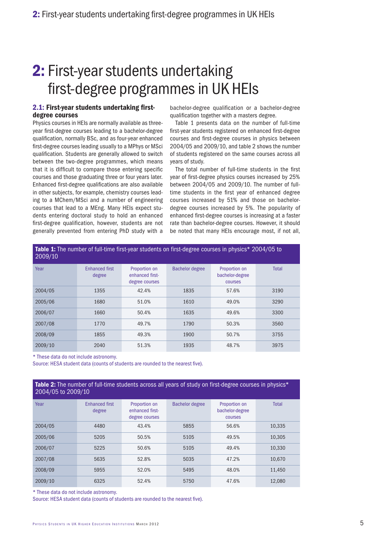## 2.1: First-year students undertaking firstdegree courses

Physics courses in HEIs are normally available as threeyear first-degree courses leading to a bachelor-degree qualification, normally BSc, and as four-year enhanced first-degree courses leading usually to a MPhys or MSci qualification. Students are generally allowed to switch between the two-degree programmes, which means that it is difficult to compare those entering specific courses and those graduating three or four years later. Enhanced first-degree qualifications are also available in other subjects, for example, chemistry courses leading to a MChem/MSci and a number of engineering courses that lead to a MEng. Many HEIs expect students entering doctoral study to hold an enhanced first-degree qualification, however, students are not generally prevented from entering PhD study with a

bachelor-degree qualification or a bachelor-degree qualification together with a masters degree.

Table 1 presents data on the number of full-time first-year students registered on enhanced first-degree courses and first-degree courses in physics between 2004/05 and 2009/10, and table 2 shows the number of students registered on the same courses across all years of study.

The total number of full-time students in the first year of first-degree physics courses increased by 25% between 2004/05 and 2009/10. The number of fulltime students in the first year of enhanced degree courses increased by 51% and those on bachelordegree courses increased by 5%. The popularity of enhanced first-degree courses is increasing at a faster rate than bachelor-degree courses. However, it should be noted that many HEIs encourage most, if not all,

| Table 1: The number of full-time first-year students on first-degree courses in physics* 2004/05 to<br>2009/10 |                                 |                                                    |                        |                                             |              |  |  |  |  |  |  |
|----------------------------------------------------------------------------------------------------------------|---------------------------------|----------------------------------------------------|------------------------|---------------------------------------------|--------------|--|--|--|--|--|--|
| Year                                                                                                           | <b>Enhanced first</b><br>degree | Proportion on<br>enhanced first-<br>degree courses | <b>Bachelor degree</b> | Proportion on<br>bachelor-degree<br>courses | <b>Total</b> |  |  |  |  |  |  |
| 2004/05                                                                                                        | 1355                            | 42.4%                                              | 1835                   | 57.6%                                       | 3190         |  |  |  |  |  |  |
| 2005/06                                                                                                        | 1680                            | 51.0%                                              | 1610                   | 49.0%                                       | 3290         |  |  |  |  |  |  |
| 2006/07                                                                                                        | 1660                            | 50.4%                                              | 1635                   | 49.6%                                       | 3300         |  |  |  |  |  |  |
| 2007/08                                                                                                        | 1770                            | 49.7%                                              | 1790                   | 50.3%                                       | 3560         |  |  |  |  |  |  |
| 2008/09                                                                                                        | 1855                            | 49.3%                                              | 1900                   | 50.7%                                       | 3755         |  |  |  |  |  |  |
| 2009/10                                                                                                        | 2040                            | 51.3%                                              | 1935                   | 48.7%                                       | 3975         |  |  |  |  |  |  |

\* These data do not include astronomy.

Source: HESA student data (counts of students are rounded to the nearest five).

| Table 2: The number of full-time students across all years of study on first-degree courses in physics*<br>2004/05 to 2009/10 |                                 |                                                    |                        |                                             |              |  |  |  |  |  |
|-------------------------------------------------------------------------------------------------------------------------------|---------------------------------|----------------------------------------------------|------------------------|---------------------------------------------|--------------|--|--|--|--|--|
| Year                                                                                                                          | <b>Enhanced first</b><br>degree | Proportion on<br>enhanced first-<br>degree courses | <b>Bachelor degree</b> | Proportion on<br>bachelor-degree<br>courses | <b>Total</b> |  |  |  |  |  |
| 2004/05                                                                                                                       | 4480                            | 43.4%                                              | 5855                   | 56.6%                                       | 10.335       |  |  |  |  |  |
| 2005/06                                                                                                                       | 5205                            | 50.5%                                              | 5105                   | 49.5%                                       | 10.305       |  |  |  |  |  |
| 2006/07                                                                                                                       | 5225                            | 50.6%                                              | 5105                   | 49.4%                                       | 10.330       |  |  |  |  |  |
| 2007/08                                                                                                                       | 5635                            | 52.8%                                              | 5035                   | 47.2%                                       | 10.670       |  |  |  |  |  |
| 2008/09                                                                                                                       | 5955                            | 52.0%                                              | 5495                   | 48.0%                                       | 11.450       |  |  |  |  |  |
| 2009/10                                                                                                                       | 6325                            | 52.4%                                              | 5750                   | 47.6%                                       | 12.080       |  |  |  |  |  |

\* These data do not include astronomy.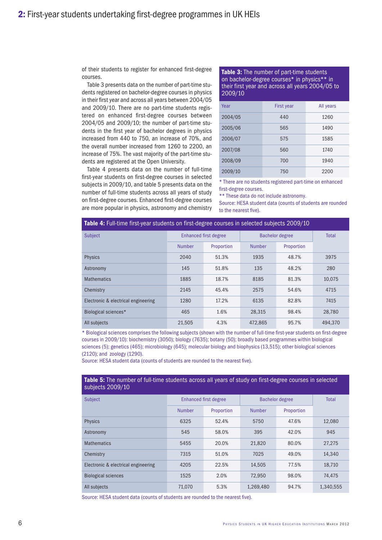of their students to register for enhanced first-degree courses.

Table 3 presents data on the number of part-time students registered on bachelor-degree courses in physics in their first year and across all years between 2004/05 and 2009/10. There are no part-time students registered on enhanced first-degree courses between 2004/05 and 2009/10; the number of part-time students in the first year of bachelor degrees in physics increased from 440 to 750, an increase of 70%, and the overall number increased from 1260 to 2200, an increase of 75%. The vast majority of the part-time students are registered at the Open University.

Table 4 presents data on the number of full-time first-year students on first-degree courses in selected subjects in 2009/10, and table 5 presents data on the number of full-time students across all years of study on first-degree courses. Enhanced first-degree courses are more popular in physics, astronomy and chemistry **Table 3:** The number of part-time students on bachelor-degree courses\* in physics\*\* in their first year and across all years 2004/05 to 2009/10

| Year    | <b>First year</b> | All years |
|---------|-------------------|-----------|
| 2004/05 | 440               | 1260      |
| 2005/06 | 565               | 1490      |
| 2006/07 | 575               | 1585      |
| 2007/08 | 560               | 1740      |
| 2008/09 | 700               | 1940      |
| 2009/10 | 750               | 2200      |

\* There are no students registered part-time on enhanced first-degree courses.

\*\* These data do not include astronomy.

Source: HESA student data (counts of students are rounded to the nearest five).

| <b>Table 4:</b> Full-time first-year students on first-degree courses in selected subjects 2009/10 |               |                              |                        |            |         |  |  |  |  |  |  |
|----------------------------------------------------------------------------------------------------|---------------|------------------------------|------------------------|------------|---------|--|--|--|--|--|--|
| <b>Subject</b>                                                                                     |               | <b>Enhanced first degree</b> | <b>Bachelor degree</b> | Total      |         |  |  |  |  |  |  |
|                                                                                                    | <b>Number</b> | Proportion                   | <b>Number</b>          | Proportion |         |  |  |  |  |  |  |
| <b>Physics</b>                                                                                     | 2040          | 51.3%                        | 1935                   | 48.7%      | 3975    |  |  |  |  |  |  |
| Astronomy                                                                                          | 145           | 51.8%                        | 135                    | 48.2%      | 280     |  |  |  |  |  |  |
| <b>Mathematics</b>                                                                                 | 1885          | 18.7%                        | 8185                   | 81.3%      | 10.075  |  |  |  |  |  |  |
| Chemistry                                                                                          | 2145          | 45.4%                        | 2575                   | 54.6%      | 4715    |  |  |  |  |  |  |
| Electronic & electrical engineering                                                                | 1280          | 17.2%                        | 6135                   | 82.8%      | 7415    |  |  |  |  |  |  |
| Biological sciences*                                                                               | 465           | 1.6%                         | 28,315                 | 98.4%      | 28.780  |  |  |  |  |  |  |
| All subjects                                                                                       | 21.505        | 4.3%                         | 472.865                | 95.7%      | 494.370 |  |  |  |  |  |  |

\* Biological sciences comprises the following subjects (shown with the number of full-time first-year students on first-degree courses in 2009/10): biochemistry (3050); biology (7635); botany (50); broadly based programmes within biological sciences (5); genetics (465); microbiology (645); molecular biology and biophysics (13,515); other biological sciences (2120); and zoology (1290).

Source: HESA student data (counts of students are rounded to the nearest five).

| <b>Table 5:</b> The number of full-time students across all years of study on first-degree courses in selected<br>subjects 2009/10 |               |                              |                        |            |           |  |  |  |  |  |  |
|------------------------------------------------------------------------------------------------------------------------------------|---------------|------------------------------|------------------------|------------|-----------|--|--|--|--|--|--|
| <b>Subject</b>                                                                                                                     |               | <b>Enhanced first degree</b> | <b>Bachelor degree</b> | Total      |           |  |  |  |  |  |  |
|                                                                                                                                    | <b>Number</b> | Proportion                   | <b>Number</b>          | Proportion |           |  |  |  |  |  |  |
| <b>Physics</b>                                                                                                                     | 6325          | 52.4%                        | 5750                   | 47.6%      | 12,080    |  |  |  |  |  |  |
| Astronomy                                                                                                                          | 545           | 58.0%                        | 395                    | 42.0%      | 945       |  |  |  |  |  |  |
| <b>Mathematics</b>                                                                                                                 | 5455          | 20.0%                        | 21,820                 | 80.0%      | 27,275    |  |  |  |  |  |  |
| Chemistry                                                                                                                          | 7315          | 51.0%                        | 7025                   | 49.0%      | 14,340    |  |  |  |  |  |  |
| Electronic & electrical engineering                                                                                                | 4205          | 22.5%                        | 14.505                 | 77.5%      | 18.710    |  |  |  |  |  |  |
| <b>Biological sciences</b>                                                                                                         | 1525          | 2.0%                         | 72.950                 | 98.0%      | 74.475    |  |  |  |  |  |  |
| All subjects                                                                                                                       | 71.070        | 5.3%                         | 1,269,480              | 94.7%      | 1.340.555 |  |  |  |  |  |  |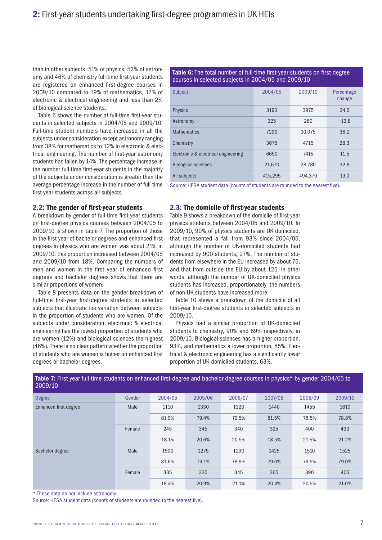than in other subjects. 51% of physics, 52% of astronomy and 46% of chemistry full-time first-year students are registered on enhanced first-degree courses in 2009/10 compared to 19% of mathematics, 17% of electronic & electrical engineering and less than 2% of biological science students.

Table 6 shows the number of full-time first-year students in selected subjects in 2004/05 and 2009/10. Full-time student numbers have increased in all the subjects under consideration except astronomy ranging from 38% for mathematics to 12% in electronic & electrical engineering. The number of first-year astronomy students has fallen by 14%. The percentage increase in the number full-time first-year students in the majority of the subjects under consideration is greater than the average percentage increase in the number of full-time first-year students across all subjects.

2.2: The gender of first-year students

A breakdown by gender of full-time first-year students on first-degree physics courses between 2004/05 to 2009/10 is shown in table 7. The proportion of those in the first year of bachelor degrees and enhanced first degrees in physics who are women was about 21% in 2009/10: this proportion increased between 2004/05 and 2009/10 from 18%. Comparing the numbers of men and women in the first year of enhanced first degrees and bachelor degrees shows that there are similar proportions of women.

Table 8 presents data on the gender breakdown of full-time first-year first-degree students in selected subjects that illustrate the variation between subjects in the proportion of students who are women. Of the subjects under consideration, electronic & electrical engineering has the lowest proportion of students who are women (12%) and biological sciences the highest (46%). There is no clear pattern whether the proportion of students who are women is higher on enhanced first degrees or bachelor degrees.

Table 6: The total number of full-time first-year students on first-degree courses in selected subjects in 2004/05 and 2009/10

| <b>Subject</b>                      | 2004/05 | 2009/10 | Percentage<br>change |
|-------------------------------------|---------|---------|----------------------|
| <b>Physics</b>                      | 3190    | 3975    | 24.6                 |
| Astronomy                           | 325     | 280     | $-13.8$              |
| <b>Mathematics</b>                  | 7290    | 10.075  | 38.2                 |
| Chemistry                           | 3675    | 4715    | 28.3                 |
| Electronic & electrical engineering | 6650    | 7415    | 11.5                 |
| <b>Biological sciences</b>          | 21.670  | 28.780  | 32.8                 |
| All subjects                        | 415.295 | 494.370 | 19.0                 |

Source: HESA student data (counts of students are rounded to the nearest five).

### 2.3: The domicile of first-year students

Table 9 shows a breakdown of the domicile of first-year physics students between 2004/05 and 2009/10. In 2009/10, 90% of physics students are UK domiciled: that represented a fall from 93% since 2004/05, although the number of UK-domiciled students had increased by 900 students, 27%. The number of students from elsewhere in the EU increased by about 75, and that from outside the EU by about 125. In other words, although the number of UK-domiciled physics students has increased, proportionately, the numbers of non-UK students have increased more.

Table 10 shows a breakdown of the domicile of all first-year first-degree students in selected subjects in 2009/10.

Physics had a similar proportion of UK-domiciled students to chemistry, 90% and 89% respectively, in 2009/10. Biological sciences has a higher proportion, 93%, and mathematics a lower proportion, 85%. Electrical & electronic engineering has a significantly lower proportion of UK-domiciled students, 63%.

| 2009/10                |        |         |         |         |         |         |         |
|------------------------|--------|---------|---------|---------|---------|---------|---------|
| <b>Degree</b>          | Gender | 2004/05 | 2005/06 | 2006/07 | 2007/08 | 2008/09 | 2009/10 |
| Enhanced first degree  | Male   | 1110    | 1330    | 1320    | 1440    | 1455    | 1610    |
|                        |        | 81.9%   | 79.4%   | 79.5%   | 81.5%   | 78.5%   | 78.8%   |
|                        | Female | 245     | 345     | 340     | 325     | 400     | 430     |
|                        |        | 18.1%   | 20.6%   | 20.5%   | 18.5%   | 21.5%   | 21.2%   |
| <b>Bachelor degree</b> | Male   | 1500    | 1275    | 1290    | 1425    | 1510    | 1525    |
|                        |        | 81.6%   | 79.1%   | 78.9%   | 79.6%   | 79.5%   | 79.0%   |
|                        | Female | 335     | 335     | 345     | 365     | 390     | 405     |
|                        |        | 18.4%   | 20.9%   | 21.1%   | 20.4%   | 20.5%   | 21.0%   |

Table 7: First-year full-time students on enhanced first-degree and bachelor-degree courses in physics\* by gender 2004/05 to

\* These data do not include astronomy.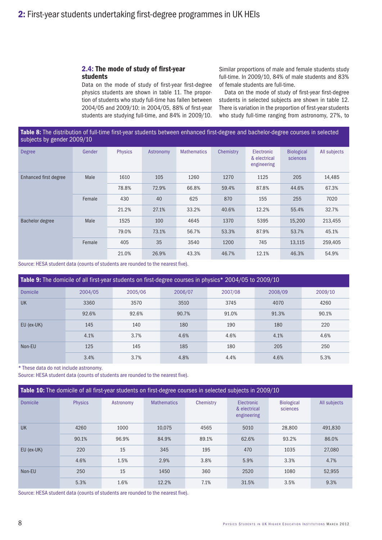### 2.4: The mode of study of first-year students

Data on the mode of study of first-year first-degree physics students are shown in table 11. The proportion of students who study full-time has fallen between 2004/05 and 2009/10: in 2004/05, 88% of first-year students are studying full-time, and 84% in 2009/10.

Similar proportions of male and female students study full-time. In 2009/10, 84% of male students and 83% of female students are full-time.

Data on the mode of study of first-year first-degree students in selected subjects are shown in table 12. There is variation in the proportion of first-year students who study full-time ranging from astronomy, 27%, to

### Table 8: The distribution of full-time first-year students between enhanced first-degree and bachelor-degree courses in selected subjects by gender 2009/10

| <b>Degree</b>         | Gender | <b>Physics</b> | Astronomy | <b>Mathematics</b> | Chemistry | Electronic<br>& electrical<br>engineering | <b>Biological</b><br>sciences | All subjects |
|-----------------------|--------|----------------|-----------|--------------------|-----------|-------------------------------------------|-------------------------------|--------------|
| Enhanced first degree | Male   | 1610           | 105       | 1260               | 1270      | 1125                                      | 205                           | 14,485       |
|                       |        | 78.8%          | 72.9%     | 66.8%              | 59.4%     | 87.8%                                     | 44.6%                         | 67.3%        |
|                       | Female | 430            | 40        | 625                | 870       | 155                                       | 255                           | 7020         |
|                       |        | 21.2%          | 27.1%     | 33.2%              | 40.6%     | 12.2%                                     | 55.4%                         | 32.7%        |
| Bachelor degree       | Male   | 1525           | 100       | 4645               | 1370      | 5395                                      | 15,200                        | 213,455      |
|                       |        | 79.0%          | 73.1%     | 56.7%              | 53.3%     | 87.9%                                     | 53.7%                         | 45.1%        |
|                       | Female | 405            | 35        | 3540               | 1200      | 745                                       | 13,115                        | 259,405      |
|                       |        | 21.0%          | 26.9%     | 43.3%              | 46.7%     | 12.1%                                     | 46.3%                         | 54.9%        |

Source: HESA student data (counts of students are rounded to the nearest five).

| <b>Table 9:</b> The domicile of all first-year students on first-degree courses in physics* 2004/05 to 2009/10 |         |         |         |         |         |         |  |  |  |  |  |
|----------------------------------------------------------------------------------------------------------------|---------|---------|---------|---------|---------|---------|--|--|--|--|--|
| <b>Domicile</b>                                                                                                | 2004/05 | 2005/06 | 2006/07 | 2007/08 | 2008/09 | 2009/10 |  |  |  |  |  |
| <b>UK</b>                                                                                                      | 3360    | 3570    | 3510    | 3745    | 4070    | 4260    |  |  |  |  |  |
|                                                                                                                | 92.6%   | 92.6%   | 90.7%   | 91.0%   | 91.3%   | 90.1%   |  |  |  |  |  |
| EU (ex-UK)                                                                                                     | 145     | 140     | 180     | 190     | 180     | 220     |  |  |  |  |  |
|                                                                                                                | 4.1%    | 3.7%    | 4.6%    | 4.6%    | 4.1%    | 4.6%    |  |  |  |  |  |
| Non-EU                                                                                                         | 125     | 145     | 185     | 180     | 205     | 250     |  |  |  |  |  |
|                                                                                                                | 3.4%    | 3.7%    | 4.8%    | 4.4%    | 4.6%    | 5.3%    |  |  |  |  |  |

\* These data do not include astronomy.

Source: HESA student data (counts of students are rounded to the nearest five).

|                 | <b>Table 10:</b> The domicile of all first-year students on first-degree courses in selected subjects in 2009/10 |           |                    |           |                                                  |                               |              |  |  |  |  |  |
|-----------------|------------------------------------------------------------------------------------------------------------------|-----------|--------------------|-----------|--------------------------------------------------|-------------------------------|--------------|--|--|--|--|--|
| <b>Domicile</b> | <b>Physics</b>                                                                                                   | Astronomy | <b>Mathematics</b> | Chemistry | <b>Electronic</b><br>& electrical<br>engineering | <b>Biological</b><br>sciences | All subjects |  |  |  |  |  |
| <b>UK</b>       | 4260                                                                                                             | 1000      | 10.075             | 4565      | 5010                                             | 28,800                        | 491,830      |  |  |  |  |  |
|                 | 90.1%                                                                                                            | 96.9%     | 84.9%              | 89.1%     | 62.6%                                            | 93.2%                         | 86.0%        |  |  |  |  |  |
| EU (ex-UK)      | 220                                                                                                              | 15        | 345                | 195       | 470                                              | 1035                          | 27,080       |  |  |  |  |  |
|                 | 4.6%                                                                                                             | 1.5%      | 2.9%               | 3.8%      | 5.9%                                             | 3.3%                          | 4.7%         |  |  |  |  |  |
| Non-EU          | 250                                                                                                              | 15        | 1450               | 360       | 2520                                             | 1080                          | 52.955       |  |  |  |  |  |
|                 | 5.3%                                                                                                             | 1.6%      | 12.2%              | 7.1%      | 31.5%                                            | 3.5%                          | 9.3%         |  |  |  |  |  |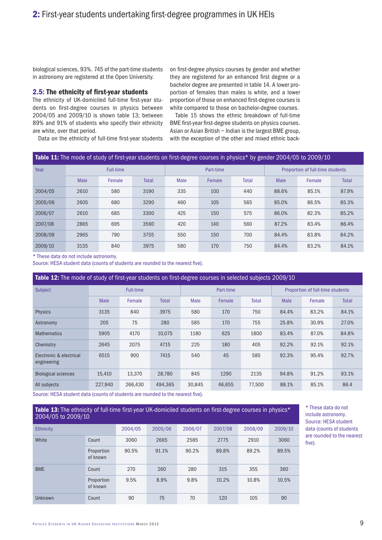biological sciences, 93%. 745 of the part-time students in astronomy are registered at the Open University.

#### 2.5: The ethnicity of first-year students

The ethnicity of UK-domiciled full-time first-year students on first-degree courses in physics between 2004/05 and 2009/10 is shown table 13; between 89% and 91% of students who specify their ethnicity are white, over that period.

on first-degree physics courses by gender and whether they are registered for an enhanced first degree or a bachelor degree are presented in table 14. A lower proportion of females than males is white, and a lower proportion of those on enhanced first-degree courses is white compared to those on bachelor-degree courses.

Table 15 shows the ethnic breakdown of full-time BME first-year first-degree students on physics courses. Asian or Asian British – Indian is the largest BME group, with the exception of the other and mixed ethnic back-

Data on the ethnicity of full-time first-year students

#### Table 11: The mode of study of first-year students on first-degree courses in physics\* by gender 2004/05 to 2009/10

| Year    | Full-time   |        |              |      | Part-time |              |       | Proportion of full-time students |              |  |
|---------|-------------|--------|--------------|------|-----------|--------------|-------|----------------------------------|--------------|--|
|         | <b>Male</b> | Female | <b>Total</b> | Male | Female    | <b>Total</b> | Male  | Female                           | <b>Total</b> |  |
| 2004/05 | 2610        | 580    | 3190         | 335  | 100       | 440          | 88.6% | 85.1%                            | 87.9%        |  |
| 2005/06 | 2605        | 680    | 3290         | 460  | 105       | 565          | 85.0% | 86.5%                            | 85.3%        |  |
| 2006/07 | 2610        | 685    | 3300         | 425  | 150       | 575          | 86.0% | 82.3%                            | 85.2%        |  |
| 2007/08 | 2865        | 695    | 3560         | 420  | 140       | 560          | 87.2% | 83.4%                            | 86.4%        |  |
| 2008/09 | 2965        | 790    | 3755         | 550  | 150       | 700          | 84.4% | 83.8%                            | 84.2%        |  |
| 2009/10 | 3135        | 840    | 3975         | 580  | 170       | 750          | 84.4% | 83.2%                            | 84.1%        |  |

\* These data do not include astronomy.

Source: HESA student data (counts of students are rounded to the nearest five).

Table 12: The mode of study of first-year students on first-degree courses in selected subjects 2009/10 Subject Full-time Full-time  $\blacksquare$  Part-time  $\blacksquare$  Proportion of full-time students Male Female Total Male Female Total Male Female Total Physics 3135 840 3975 580 170 750 84.4% 83.2% 84.1% Astronomy 205 75 280 585 170 755 25.8% 30.9% 27.0% Mathematics 5905 4170 10,075 1180 625 1800 83.4% 87.0% 84.8% Chemistry 2645 2075 4715 225 180 405 92.2% 92.1% 92.1% Electronic & electrical engineering 6515 900 7415 540 45 585 92.3% 95.4% 92.7% Biological sciences 15,410 13,370 28,780 845 1290 2135 94.8% 91.2% 93.1% All subjects 227,940 266,430 494,365 30,845 46,655 77,500 88.1% 85.1% 86.4

Source: HESA student data (counts of students are rounded to the nearest five).

Table 13: The ethnicity of full-time first-year UK-domiciled students on first-degree courses in physics\* 2004/05 to 2009/10

| <b>Ethnicity</b> |                        | 2004/05 | 2005/06 | 2006/07 | 2007/08 | 2008/09 | 2009/10 |
|------------------|------------------------|---------|---------|---------|---------|---------|---------|
| White            | Count                  | 3060    | 2665    | 2585    | 2775    | 2910    | 3060    |
|                  | Proportion<br>of known | 90.5%   | 91.1%   | 90.2%   | 89.8%   | 89.2%   | 89.5%   |
| <b>BME</b>       | Count                  | 270     | 260     | 280     | 315     | 355     | 360     |
|                  | Proportion<br>of known | 9.5%    | 8.9%    | 9.8%    | 10.2%   | 10.8%   | 10.5%   |
| Unknown          | Count                  | 90      | 75      | 70      | 120     | 105     | 90      |

\* These data do not include astronomy. Source: HESA student data (counts of students are rounded to the nearest five).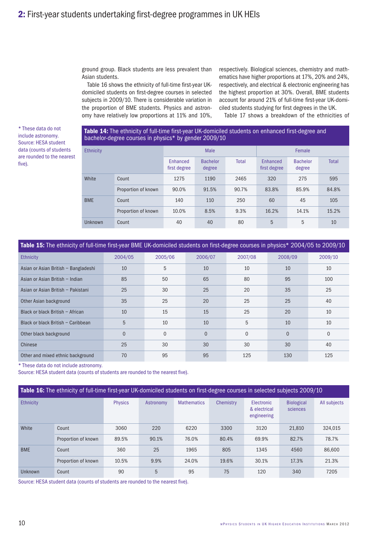ground group. Black students are less prevalent than Asian students.

Table 16 shows the ethnicity of full-time first-year UKdomiciled students on first-degree courses in selected subjects in 2009/10. There is considerable variation in the proportion of BME students. Physics and astronomy have relatively low proportions at 11% and 10%, respectively. Biological sciences, chemistry and mathematics have higher proportions at 17%, 20% and 24%, respectively, and electrical & electronic engineering has the highest proportion at 30%. Overall, BME students account for around 21% of full-time first-year UK-domiciled students studying for first degrees in the UK. Table 17 shows a breakdown of the ethnicities of

\* These data do not include astronomy. Source: HESA student data (counts of students are rounded to the nearest five).

## Table 14: The ethnicity of full-time first-year UK-domiciled students on enhanced first-degree and bachelor-degree courses in physics\* by gender 2009/10

| <b>Ethnicity</b> |                     |                          | Male                      |              | Female                   |                           |              |  |
|------------------|---------------------|--------------------------|---------------------------|--------------|--------------------------|---------------------------|--------------|--|
|                  |                     | Enhanced<br>first degree | <b>Bachelor</b><br>degree | <b>Total</b> | Enhanced<br>first degree | <b>Bachelor</b><br>degree | <b>Total</b> |  |
| White            | Count               | 1275                     | 1190                      | 2465         | 320                      | 275                       | 595          |  |
|                  | Proportion of known | 90.0%                    | 91.5%                     | 90.7%        | 83.8%                    | 85.9%                     | 84.8%        |  |
| <b>BME</b>       | Count               | 140                      | 110                       | 250          | 60                       | 45                        | 105          |  |
|                  | Proportion of known | 10.0%                    | 8.5%                      | 9.3%         | 16.2%                    | 14.1%                     | 15.2%        |  |
| Unknown          | Count               | 40                       | 40                        | 80           | 5                        | 5                         | 10           |  |

| Table 15: The ethnicity of full-time first-year BME UK-domiciled students on first-degree courses in physics* 2004/05 to 2009/10 |          |          |                |          |          |          |  |  |  |  |  |  |
|----------------------------------------------------------------------------------------------------------------------------------|----------|----------|----------------|----------|----------|----------|--|--|--|--|--|--|
| Ethnicity                                                                                                                        | 2004/05  | 2005/06  | 2006/07        | 2007/08  | 2008/09  | 2009/10  |  |  |  |  |  |  |
| Asian or Asian British - Bangladeshi                                                                                             | 10       | 5        | 10             | 10       | 10       | 10       |  |  |  |  |  |  |
| Asian or Asian British - Indian                                                                                                  | 85       | 50       | 65             | 80       | 95       | 100      |  |  |  |  |  |  |
| Asian or Asian British - Pakistani                                                                                               | 25       | 30       | 25             | 20       | 35       | 25       |  |  |  |  |  |  |
| Other Asian background                                                                                                           | 35       | 25       | 20             | 25       | 25       | 40       |  |  |  |  |  |  |
| Black or black British - African                                                                                                 | 10       | 15       | 15             | 25       | 20       | 10       |  |  |  |  |  |  |
| Black or black British - Caribbean                                                                                               | 5        | 10       | 10             | 5        | 10       | 10       |  |  |  |  |  |  |
| Other black background                                                                                                           | $\Omega$ | $\Omega$ | $\overline{0}$ | $\Omega$ | $\Omega$ | $\Omega$ |  |  |  |  |  |  |
| Chinese                                                                                                                          | 25       | 30       | 30             | 30       | 30       | 40       |  |  |  |  |  |  |
| Other and mixed ethnic background                                                                                                | 70       | 95       | 95             | 125      | 130      | 125      |  |  |  |  |  |  |

\* These data do not include astronomy.

Source: HESA student data (counts of students are rounded to the nearest five).

|                  | Table 16: The ethnicity of full-time first-year UK-domiciled students on first-degree courses in selected subjects 2009/10 |                |           |                    |           |                                                  |                               |              |  |  |  |  |  |  |
|------------------|----------------------------------------------------------------------------------------------------------------------------|----------------|-----------|--------------------|-----------|--------------------------------------------------|-------------------------------|--------------|--|--|--|--|--|--|
| <b>Ethnicity</b> |                                                                                                                            | <b>Physics</b> | Astronomy | <b>Mathematics</b> | Chemistry | <b>Electronic</b><br>& electrical<br>engineering | <b>Biological</b><br>sciences | All subjects |  |  |  |  |  |  |
| White            | Count                                                                                                                      | 3060           | 220       | 6220               | 3300      | 3120                                             | 21.810                        | 324.015      |  |  |  |  |  |  |
|                  | Proportion of known                                                                                                        | 89.5%          | 90.1%     | 76.0%              | 80.4%     | 69.9%                                            | 82.7%                         | 78.7%        |  |  |  |  |  |  |
| <b>BME</b>       | Count                                                                                                                      | 360            | 25        | 1965               | 805       | 1345                                             | 4560                          | 86,600       |  |  |  |  |  |  |
|                  | Proportion of known                                                                                                        | 10.5%          | 9.9%      | 24.0%              | 19.6%     | 30.1%                                            | 17.3%                         | 21.3%        |  |  |  |  |  |  |
| Unknown          | Count                                                                                                                      | 90             | 5         | 95                 | 75        | 120                                              | 340                           | 7205         |  |  |  |  |  |  |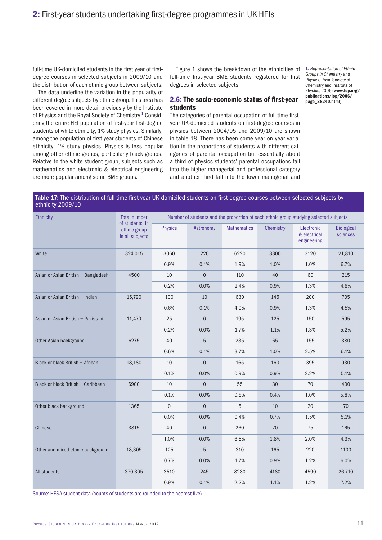full-time UK-domiciled students in the first year of firstdegree courses in selected subjects in 2009/10 and the distribution of each ethnic group between subjects.

The data underline the variation in the popularity of different degree subjects by ethnic group. This area has been covered in more detail previously by the Institute of Physics and the Royal Society of Chemistry.<sup>1</sup> Considering the entire HEI population of first-year first-degree students of white ethnicity, 1% study physics. Similarly, among the population of first-year students of Chinese ethnicity, 1% study physics. Physics is less popular among other ethnic groups, particularly black groups. Relative to the white student group, subjects such as mathematics and electronic & electrical engineering are more popular among some BME groups.

Figure 1 shows the breakdown of the ethnicities of full-time first-year BME students registered for first degrees in selected subjects.

1. *Representation of Ethnic Groups in Chemistry and Physics*, Royal Society of Chemistry and Institute of Physics, 2006 (www.iop.org/ publications/iop/2006/ page\_38240.html).

## 2.6: The socio-economic status of first-year students

The categories of parental occupation of full-time firstyear UK-domiciled students on first-degree courses in physics between 2004/05 and 2009/10 are shown in table 18. There has been some year on year variation in the proportions of students with different categories of parental occupation but essentially about a third of physics students' parental occupations fall into the higher managerial and professional category and another third fall into the lower managerial and

### Table 17: The distribution of full-time first-year UK-domiciled students on first-degree courses between selected subjects by ethnicity 2009/10

| <b>Ethnicity</b>                     | <b>Total number</b>                               |                |                |                    |           | Number of students and the proportion of each ethnic group studying selected subjects |                               |
|--------------------------------------|---------------------------------------------------|----------------|----------------|--------------------|-----------|---------------------------------------------------------------------------------------|-------------------------------|
|                                      | of students in<br>ethnic group<br>in all subjects | <b>Physics</b> | Astronomy      | <b>Mathematics</b> | Chemistry | Electronic<br>& electrical<br>engineering                                             | <b>Biological</b><br>sciences |
| White                                | 324,015                                           | 3060           | 220            | 6220               | 3300      | 3120                                                                                  | 21,810                        |
|                                      |                                                   | 0.9%           | 0.1%           | 1.9%               | 1.0%      | 1.0%                                                                                  | 6.7%                          |
| Asian or Asian British - Bangladeshi | 4500                                              | 10             | $\mathbf 0$    | 110                | 40        | 60                                                                                    | 215                           |
|                                      |                                                   | 0.2%           | 0.0%           | 2.4%               | 0.9%      | 1.3%                                                                                  | 4.8%                          |
| Asian or Asian British - Indian      | 15,790                                            | 100            | 10             | 630                | 145       | 200                                                                                   | 705                           |
|                                      |                                                   | 0.6%           | 0.1%           | 4.0%               | 0.9%      | 1.3%                                                                                  | 4.5%                          |
| Asian or Asian British - Pakistani   | 11,470                                            | 25             | $\overline{0}$ | 195                | 125       | 150                                                                                   | 595                           |
|                                      |                                                   | 0.2%           | 0.0%           | 1.7%               | 1.1%      | 1.3%                                                                                  | 5.2%                          |
| Other Asian background               | 6275                                              | 40             | 5              | 235                | 65        | 155                                                                                   | 380                           |
|                                      |                                                   | 0.6%           | 0.1%           | 3.7%               | 1.0%      | 2.5%                                                                                  | 6.1%                          |
| Black or black British - African     | 18,180                                            | 10             | $\overline{0}$ | 165                | 160       | 395                                                                                   | 930                           |
|                                      |                                                   | 0.1%           | 0.0%           | 0.9%               | 0.9%      | 2.2%                                                                                  | 5.1%                          |
| Black or black British - Caribbean   | 6900                                              | 10             | $\overline{0}$ | 55                 | 30        | 70                                                                                    | 400                           |
|                                      |                                                   | 0.1%           | 0.0%           | 0.8%               | 0.4%      | 1.0%                                                                                  | 5.8%                          |
| Other black background               | 1365                                              | $\overline{0}$ | $\overline{0}$ | 5                  | 10        | 20                                                                                    | 70                            |
|                                      |                                                   | 0.0%           | 0.0%           | 0.4%               | 0.7%      | 1.5%                                                                                  | 5.1%                          |
| Chinese                              | 3815                                              | 40             | $\overline{0}$ | 260                | 70        | 75                                                                                    | 165                           |
|                                      |                                                   | 1.0%           | 0.0%           | 6.8%               | 1.8%      | 2.0%                                                                                  | 4.3%                          |
| Other and mixed ethnic background    | 18,305                                            | 125            | 5              | 310                | 165       | 220                                                                                   | 1100                          |
|                                      |                                                   | 0.7%           | 0.0%           | 1.7%               | 0.9%      | 1.2%                                                                                  | 6.0%                          |
| All students                         | 370,305                                           | 3510           | 245            | 8280               | 4180      | 4590                                                                                  | 26,710                        |
|                                      |                                                   | 0.9%           | 0.1%           | 2.2%               | 1.1%      | 1.2%                                                                                  | 7.2%                          |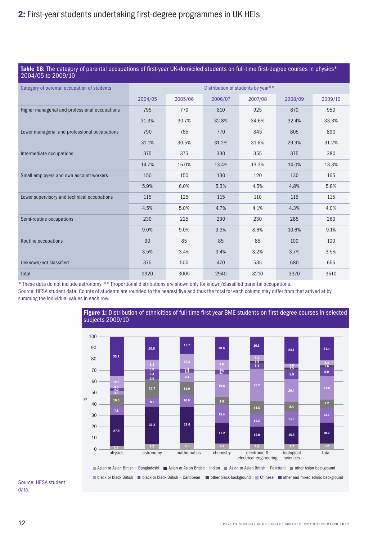### Table 18: The category of parental occupations of first-year UK-domiciled students on full-time first-degree courses in physics\* 2004/05 to 2009/10

| --- - - - - - - - - - - - - -                  |         |         |         |                                    |         |         |
|------------------------------------------------|---------|---------|---------|------------------------------------|---------|---------|
| Category of parental occupation of students    |         |         |         | Distribution of students by year** |         |         |
|                                                | 2004/05 | 2005/06 | 2006/07 | 2007/08                            | 2008/09 | 2009/10 |
| Higher managerial and professional occupations | 795     | 770     | 810     | 925                                | 870     | 950     |
|                                                | 31.3%   | 30.7%   | 32.8%   | 34.6%                              | 32.4%   | 33.3%   |
| Lower managerial and professional occupations  | 790     | 765     | 770     | 845                                | 805     | 890     |
|                                                | 31.1%   | 30.5%   | 31.2%   | 31.6%                              | 29.9%   | 31.2%   |
| Intermediate occupations                       | 375     | 375     | 330     | 355                                | 375     | 380     |
|                                                | 14.7%   | 15.0%   | 13.4%   | 13.3%                              | 14.0%   | 13.3%   |
| Small employers and own account workers        | 150     | 150     | 130     | 120                                | 130     | 165     |
|                                                | 5.9%    | 6.0%    | 5.3%    | 4.5%                               | 4.8%    | 5.8%    |
| Lower supervisory and technical occupations    | 115     | 125     | 115     | 110                                | 115     | 115     |
|                                                | 4.5%    | 5.0%    | 4.7%    | 4.1%                               | 4.3%    | 4.0%    |
| Semi-routine occupations                       | 230     | 225     | 230     | 230                                | 285     | 260     |
|                                                | 9.0%    | 9.0%    | 9.3%    | 8.6%                               | 10.6%   | 9.1%    |
| Routine occupations                            | 90      | 85      | 85      | 85                                 | 100     | 100     |
|                                                | 3.5%    | 3.4%    | 3.4%    | 3.2%                               | 3.7%    | 3.5%    |
| Unknown/not classified                         | 375     | 500     | 470     | 535                                | 680     | 655     |
| Total                                          | 2920    | 3005    | 2940    | 3210                               | 3370    | 3510    |

\* These data do not include astronomy. \*\* Proportional distributions are shown only for known/classified parental occupations.

Source: HESA student data. Counts of students are rounded to the nearest five and thus the total for each column may differ from that arrived at by summing the individual values in each row.

> Figure 1: Distribution of ethnicities of full-time first-year BME students on first-degree courses in selected subjects 2009/10



#### Source: HESA student data.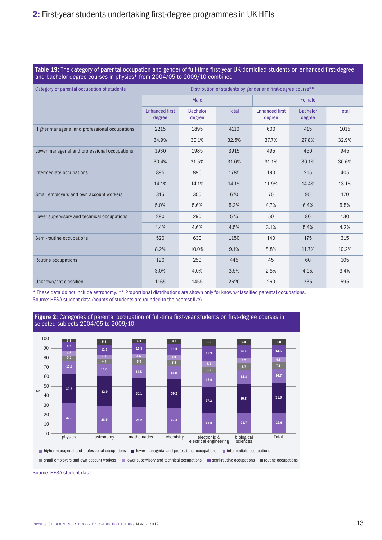| <b>Table 19:</b> The category of parental occupation and gender of full-time first-year UK-domiciled students on enhanced first-degree |
|----------------------------------------------------------------------------------------------------------------------------------------|
| and bachelor-degree courses in physics* from 2004/05 to 2009/10 combined                                                               |

| Category of parental occupation of students    |                                 |                           |              | Distribution of students by gender and first-degree course** |                           |              |
|------------------------------------------------|---------------------------------|---------------------------|--------------|--------------------------------------------------------------|---------------------------|--------------|
|                                                |                                 | Male                      |              |                                                              | Female                    |              |
|                                                | <b>Enhanced first</b><br>degree | <b>Bachelor</b><br>degree | <b>Total</b> | <b>Enhanced first</b><br>degree                              | <b>Bachelor</b><br>degree | <b>Total</b> |
| Higher managerial and professional occupations | 2215                            | 1895                      | 4110         | 600                                                          | 415                       | 1015         |
|                                                | 34.9%                           | 30.1%                     | 32.5%        | 37.7%                                                        | 27.8%                     | 32.9%        |
| Lower managerial and professional occupations  | 1930                            | 1985                      | 3915         | 495                                                          | 450                       | 945          |
|                                                | 30.4%                           | 31.5%                     | 31.0%        | 31.1%                                                        | 30.1%                     | 30.6%        |
| Intermediate occupations                       | 895                             | 890                       | 1785         | 190                                                          | 215                       | 405          |
|                                                | 14.1%                           | 14.1%                     | 14.1%        | 11.9%                                                        | 14.4%                     | 13.1%        |
| Small employers and own account workers        | 315                             | 355                       | 670          | 75                                                           | 95                        | 170          |
|                                                | 5.0%                            | 5.6%                      | 5.3%         | 4.7%                                                         | 6.4%                      | 5.5%         |
| Lower supervisory and technical occupations    | 280                             | 290                       | 575          | 50                                                           | 80                        | 130          |
|                                                | 4.4%                            | 4.6%                      | 4.5%         | 3.1%                                                         | 5.4%                      | 4.2%         |
| Semi-routine occupations                       | 520                             | 630                       | 1150         | 140                                                          | 175                       | 315          |
|                                                | 8.2%                            | 10.0%                     | 9.1%         | 8.8%                                                         | 11.7%                     | 10.2%        |
| Routine occupations                            | 190                             | 250                       | 445          | 45                                                           | 60                        | 105          |
|                                                | 3.0%                            | 4.0%                      | 3.5%         | 2.8%                                                         | 4.0%                      | 3.4%         |
| Unknown/not classified                         | 1165                            | 1455                      | 2620         | 260                                                          | 335                       | 595          |

\* These data do not include astronomy. \*\* Proportional distributions are shown only for known/classified parental occupations. Source: HESA student data (counts of students are rounded to the nearest five).



Source: HESA student data.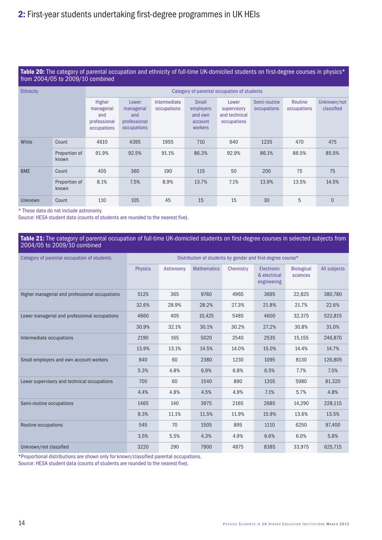### Table 20: The category of parental occupation and ethnicity of full-time UK-domiciled students on first-degree courses in physics\* from 2004/05 to 2009/10 combined

| <b>Ethnicity</b> |                        |                                                            |                                                           |                             |                                                            | Category of parental occupation of students          |                             |                        |                           |
|------------------|------------------------|------------------------------------------------------------|-----------------------------------------------------------|-----------------------------|------------------------------------------------------------|------------------------------------------------------|-----------------------------|------------------------|---------------------------|
|                  |                        | Higher<br>managerial<br>and<br>professional<br>occupations | Lower<br>managerial<br>and<br>professional<br>occupations | Intermediate<br>occupations | Small<br>employers<br>and own<br>account<br><b>workers</b> | Lower<br>supervisory<br>and technical<br>occupations | Semi-routine<br>occupations | Routine<br>occupations | Unknown/not<br>classified |
| White            | Count                  | 4610                                                       | 4395                                                      | 1955                        | 710                                                        | 640                                                  | 1235                        | 470                    | 475                       |
|                  | Proportion of<br>known | 91.9%                                                      | 92.5%                                                     | 91.1%                       | 86.3%                                                      | 92.9%                                                | 86.1%                       | 86.5%                  | 85.5%                     |
| <b>BME</b>       | Count                  | 405                                                        | 360                                                       | 190                         | 115                                                        | 50                                                   | 200                         | 75                     | 75                        |
|                  | Proportion of<br>known | 8.1%                                                       | 7.5%                                                      | 8.9%                        | 13.7%                                                      | 7.1%                                                 | 13.9%                       | 13.5%                  | 14.5%                     |
| <b>Unknown</b>   | Count                  | 110                                                        | 105                                                       | 45                          | 15                                                         | 15                                                   | 30                          | 5                      | $\overline{0}$            |

\* These data do not include astronomy.

Source: HESA student data (counts of students are rounded to the nearest five).

### Table 21: The category of parental occupation of full-time UK-domiciled students on first-degree courses in selected subjects from 2004/05 to 2009/10 combined

| Category of parental occupation of students    |                |           | Distribution of students by gender and first-degree course* |           |                                           |                               |              |
|------------------------------------------------|----------------|-----------|-------------------------------------------------------------|-----------|-------------------------------------------|-------------------------------|--------------|
|                                                | <b>Physics</b> | Astronomy | <b>Mathematics</b>                                          | Chemistry | Electronic<br>& electrical<br>engineering | <b>Biological</b><br>sciences | All subjects |
| Higher managerial and professional occupations | 5125           | 365       | 9760                                                        | 4965      | 3695                                      | 22,825                        | 380,780      |
|                                                | 32.6%          | 28.9%     | 28.2%                                                       | 27.3%     | 21.8%                                     | 21.7%                         | 22.6%        |
| Lower managerial and professional occupations  | 4860           | 405       | 10,425                                                      | 5485      | 4600                                      | 32,375                        | 522,815      |
|                                                | 30.9%          | 32.1%     | 30.1%                                                       | 30.2%     | 27.2%                                     | 30.8%                         | 31.0%        |
| Intermediate occupations                       | 2190           | 165       | 5020                                                        | 2540      | 2535                                      | 15,155                        | 246,870      |
|                                                | 13.9%          | 13.1%     | 14.5%                                                       | 14.0%     | 15.0%                                     | 14.4%                         | 14.7%        |
| Small employers and own account workers        | 840            | 60        | 2380                                                        | 1230      | 1095                                      | 8130                          | 126,805      |
|                                                | 5.3%           | 4.8%      | 6.9%                                                        | 6.8%      | 6.5%                                      | 7.7%                          | 7.5%         |
| Lower supervisory and technical occupations    | 700            | 60        | 1540                                                        | 890       | 1205                                      | 5980                          | 81,320       |
|                                                | 4.4%           | 4.8%      | 4.5%                                                        | 4.9%      | 7.1%                                      | 5.7%                          | 4.8%         |
| Semi-routine occupations                       | 1465           | 140       | 3975                                                        | 2165      | 2685                                      | 14,290                        | 228,115      |
|                                                | 9.3%           | 11.1%     | 11.5%                                                       | 11.9%     | 15.9%                                     | 13.6%                         | 13.5%        |
| Routine occupations                            | 545            | 70        | 1505                                                        | 895       | 1110                                      | 6250                          | 97,400       |
|                                                | 3.5%           | 5.5%      | 4.3%                                                        | 4.9%      | 6.6%                                      | 6.0%                          | 5.8%         |
| Unknown/not classified                         | 3220           | 290       | 7900                                                        | 4875      | 8385                                      | 33,975                        | 625,715      |

\*Proportional distributions are shown only for known/classified parental occupations.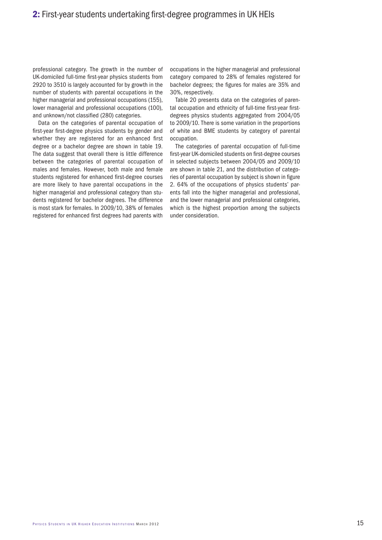professional category. The growth in the number of UK-domiciled full-time first-year physics students from 2920 to 3510 is largely accounted for by growth in the number of students with parental occupations in the higher managerial and professional occupations (155), lower managerial and professional occupations (100), and unknown/not classified (280) categories.

Data on the categories of parental occupation of first-year first-degree physics students by gender and whether they are registered for an enhanced first degree or a bachelor degree are shown in table 19. The data suggest that overall there is little difference between the categories of parental occupation of males and females. However, both male and female students registered for enhanced first-degree courses are more likely to have parental occupations in the higher managerial and professional category than students registered for bachelor degrees. The difference is most stark for females. In 2009/10, 38% of females registered for enhanced first degrees had parents with

occupations in the higher managerial and professional category compared to 28% of females registered for bachelor degrees; the figures for males are 35% and 30%, respectively.

Table 20 presents data on the categories of parental occupation and ethnicity of full-time first-year firstdegrees physics students aggregated from 2004/05 to 2009/10. There is some variation in the proportions of white and BME students by category of parental occupation.

The categories of parental occupation of full-time first-year UK-domiciled students on first-degree courses in selected subjects between 2004/05 and 2009/10 are shown in table 21, and the distribution of categories of parental occupation by subject is shown in figure 2. 64% of the occupations of physics students' parents fall into the higher managerial and professional, and the lower managerial and professional categories, which is the highest proportion among the subjects under consideration.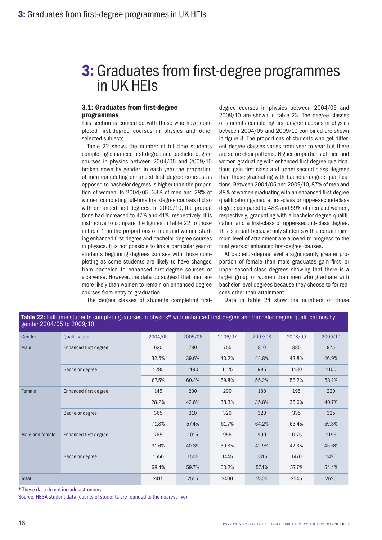## 3.1: Graduates from first-degree programmes

This section is concerned with those who have completed first-degree courses in physics and other selected subjects.

Table 22 shows the number of full-time students completing enhanced first-degree and bachelor-degree courses in physics between 2004/05 and 2009/10 broken down by gender. In each year the proportion of men completing enhanced first degree courses as opposed to bachelor degrees is higher than the proportion of women. In 2004/05, 33% of men and 28% of women completing full-time first degree courses did so with enhanced first degrees. In 2009/10, the proportions had increased to 47% and 41%, respectively. It is instructive to compare the figures in table 22 to those in table 1 on the proportions of men and women starting enhanced first-degree and bachelor-degree courses in physics. It is not possible to link a particular year of students beginning degrees courses with those completing as some students are likely to have changed from bachelor- to enhanced first-degree courses or vice versa. However, the data do suggest that men are more likely than women to remain on enhanced degree courses from entry to graduation.

degree courses in physics between 2004/05 and 2009/10 are shown in table 23. The degree classes of students completing first-degree courses in physics between 2004/05 and 2009/10 combined are shown in figure 3. The proportions of students who get different degree classes varies from year to year but there are some clear patterns. Higher proportions of men and women graduating with enhanced first-degree qualifications gain first-class and upper-second-class degrees than those graduating with bachelor-degree qualifications. Between 2004/05 and 2009/10, 87% of men and 88% of women graduating with an enhanced first-degree qualification gained a first-class or upper-second-class degree compared to 48% and 59% of men and women, respectively, graduating with a bachelor-degree qualification and a first-class or upper-second-class degree. This is in part because only students with a certain minimum level of attainment are allowed to progress to the final years of enhanced first-degree courses.

At bachelor-degree level a significantly greater proportion of female than male graduates gain first- or upper-second-class degrees showing that there is a larger group of women than men who graduate with bachelor-level degrees because they choose to for reasons other than attainment.

The degree classes of students completing first-

Data in table 24 show the numbers of those

| <b>SCIIUCI ZUU4/UJ IU ZUUJ/IU</b> |                              |         |         |         |         |         |         |
|-----------------------------------|------------------------------|---------|---------|---------|---------|---------|---------|
| Gender                            | Qualification                | 2004/05 | 2005/06 | 2006/07 | 2007/08 | 2008/09 | 2009/10 |
| Male                              | Enhanced first degree        | 620     | 780     | 755     | 810     | 885     | 975     |
|                                   |                              | 32.5%   | 39.6%   | 40.2%   | 44.8%   | 43.8%   | 46.9%   |
|                                   | Bachelor degree              | 1285    | 1190    | 1125    | 995     | 1130    | 1100    |
|                                   |                              | 67.5%   | 60.4%   | 59.8%   | 55.2%   | 56.2%   | 53.1%   |
| Female                            | <b>Enhanced first degree</b> | 145     | 230     | 200     | 180     | 195     | 220     |
|                                   |                              | 28.2%   | 42.6%   | 38.3%   | 35.8%   | 36.6%   | 40.7%   |
|                                   | <b>Bachelor degree</b>       | 365     | 310     | 320     | 320     | 335     | 325     |
|                                   |                              | 71.8%   | 57.4%   | 61.7%   | 64.2%   | 63.4%   | 59.3%   |
| Male and female                   | Enhanced first degree        | 765     | 1015    | 955     | 990     | 1075    | 1195    |
|                                   |                              | 31.6%   | 40.3%   | 39.8%   | 42.9%   | 42.3%   | 45.6%   |
|                                   | Bachelor degree              | 1650    | 1505    | 1445    | 1315    | 1470    | 1425    |
|                                   |                              | 68.4%   | 59.7%   | 60.2%   | 57.1%   | 57.7%   | 54.4%   |
| Total                             |                              | 2415    | 2515    | 2400    | 2305    | 2545    | 2620    |

Table 22: Full-time students completing courses in physics\* with enhanced first-degree and bachelor-degree qualifications by

\* These data do not include astronomy.

 $0.004/05$  to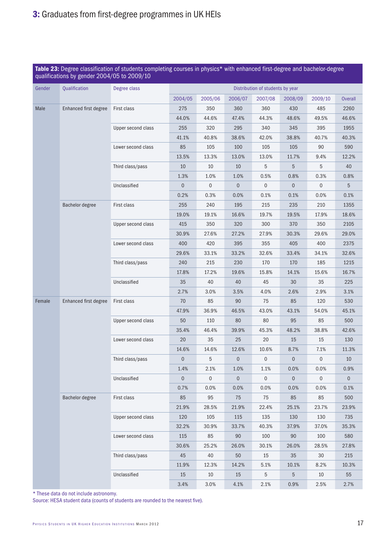|        |                              |                    |                |             | Table 23: Degree classification of students completing courses in physics* with enhanced first-degree and bachelor-degree<br>qualifications by gender 2004/05 to 2009/10 |                                  |                |             |                |  |  |  |  |  |  |  |  |
|--------|------------------------------|--------------------|----------------|-------------|--------------------------------------------------------------------------------------------------------------------------------------------------------------------------|----------------------------------|----------------|-------------|----------------|--|--|--|--|--|--|--|--|
| Gender | Qualification                | Degree class       |                |             |                                                                                                                                                                          | Distribution of students by year |                |             |                |  |  |  |  |  |  |  |  |
|        |                              |                    | 2004/05        | 2005/06     | 2006/07                                                                                                                                                                  | 2007/08                          | 2008/09        | 2009/10     | <b>Overall</b> |  |  |  |  |  |  |  |  |
| Male   | <b>Enhanced first degree</b> | First class        | 275            | 350         | 360                                                                                                                                                                      | 360                              | 430            | 485         | 2260           |  |  |  |  |  |  |  |  |
|        |                              |                    | 44.0%          | 44.6%       | 47.4%                                                                                                                                                                    | 44.3%                            | 48.6%          | 49.5%       | 46.6%          |  |  |  |  |  |  |  |  |
|        |                              | Upper second class | 255            | 320         | 295                                                                                                                                                                      | 340                              | 345            | 395         | 1955           |  |  |  |  |  |  |  |  |
|        |                              |                    | 41.1%          | 40.8%       | 38.6%                                                                                                                                                                    | 42.0%                            | 38.8%          | 40.7%       | 40.3%          |  |  |  |  |  |  |  |  |
|        |                              | Lower second class | 85             | 105         | 100                                                                                                                                                                      | 105                              | 105            | 90          | 590            |  |  |  |  |  |  |  |  |
|        |                              |                    | 13.5%          | 13.3%       | 13.0%                                                                                                                                                                    | 13.0%                            | 11.7%          | 9.4%        | 12.2%          |  |  |  |  |  |  |  |  |
|        |                              | Third class/pass   | 10             | 10          | 10                                                                                                                                                                       | 5                                | 5              | 5           | 40             |  |  |  |  |  |  |  |  |
|        |                              |                    | 1.3%           | 1.0%        | 1.0%                                                                                                                                                                     | 0.5%                             | 0.8%           | 0.3%        | 0.8%           |  |  |  |  |  |  |  |  |
|        |                              | Unclassified       | $\mathbf 0$    | 0           | $\theta$                                                                                                                                                                 | $\mathbf{0}$                     | $\mathbf 0$    | $\mathbf 0$ | 5              |  |  |  |  |  |  |  |  |
|        |                              |                    | 0.2%           | 0.3%        | 0.0%                                                                                                                                                                     | 0.1%                             | 0.1%           | 0.0%        | 0.1%           |  |  |  |  |  |  |  |  |
|        | <b>Bachelor degree</b>       | First class        | 255            | 240         | 195                                                                                                                                                                      | 215                              | 235            | 210         | 1355           |  |  |  |  |  |  |  |  |
|        |                              |                    | 19.0%          | 19.1%       | 16.6%                                                                                                                                                                    | 19.7%                            | 19.5%          | 17.9%       | 18.6%          |  |  |  |  |  |  |  |  |
|        |                              | Upper second class | 415            | 350         | 320                                                                                                                                                                      | 300                              | 370            | 350         | 2105           |  |  |  |  |  |  |  |  |
|        |                              | 30.9%              | 27.6%          | 27.2%       | 27.9%                                                                                                                                                                    | 30.3%                            | 29.6%          | 29.0%       |                |  |  |  |  |  |  |  |  |
|        | Lower second class           | 400                | 420            | 395         | 355                                                                                                                                                                      | 405                              | 400            | 2375        |                |  |  |  |  |  |  |  |  |
|        |                              | 29.6%              | 33.1%          | 33.2%       | 32.6%                                                                                                                                                                    | 33.4%                            | 34.1%          | 32.6%       |                |  |  |  |  |  |  |  |  |
|        |                              | Third class/pass   | 240            | 215         | 230                                                                                                                                                                      | 170                              | 170            | 185         | 1215           |  |  |  |  |  |  |  |  |
|        |                              |                    | 17.8%          | 17.2%       | 19.6%                                                                                                                                                                    | 15.8%                            | 14.1%          | 15.6%       | 16.7%          |  |  |  |  |  |  |  |  |
|        |                              | Unclassified       | 35             | 40          | 40                                                                                                                                                                       | 45                               | 30             | 35          | 225            |  |  |  |  |  |  |  |  |
|        |                              |                    | 2.7%           | 3.0%        | 3.5%                                                                                                                                                                     | 4.0%                             | 2.6%           | 2.9%        | 3.1%           |  |  |  |  |  |  |  |  |
| Female | Enhanced first degree        | First class        | 70             | 85          | 90                                                                                                                                                                       | 75                               | 85             | 120         | 530            |  |  |  |  |  |  |  |  |
|        |                              |                    | 47.9%          | 36.9%       | 46.5%                                                                                                                                                                    | 43.0%                            | 43.1%          | 54.0%       | 45.1%          |  |  |  |  |  |  |  |  |
|        |                              | Upper second class | 50             | 110         | 80                                                                                                                                                                       | 80                               | 95             | 85          | 500            |  |  |  |  |  |  |  |  |
|        |                              |                    | 35.4%          | 46.4%       | 39.9%                                                                                                                                                                    | 45.3%                            | 48.2%          | 38.8%       | 42.6%          |  |  |  |  |  |  |  |  |
|        |                              | Lower second class | 20             | 35          | 25                                                                                                                                                                       | 20                               | 15             | 15          | 130            |  |  |  |  |  |  |  |  |
|        |                              |                    | 14.6%          | 14.6%       | 12.6%                                                                                                                                                                    | 10.6%                            | 8.7%           | 7.1%        | 11.3%          |  |  |  |  |  |  |  |  |
|        |                              | Third class/pass   | $\overline{0}$ | 5           | $\overline{0}$                                                                                                                                                           | $\overline{0}$                   | $\overline{0}$ | $\mathbf 0$ | 10             |  |  |  |  |  |  |  |  |
|        |                              |                    | 1.4%           | 2.1%        | 1.0%                                                                                                                                                                     | 1.1%                             | 0.0%           | 0.0%        | 0.9%           |  |  |  |  |  |  |  |  |
|        |                              | Unclassified       | $\overline{0}$ | $\mathbf 0$ | $\overline{0}$                                                                                                                                                           | $\overline{0}$                   | $\overline{0}$ | $\mathbf 0$ | $\overline{0}$ |  |  |  |  |  |  |  |  |
|        |                              |                    | 0.7%           | 0.0%        | 0.0%                                                                                                                                                                     | 0.0%                             | 0.0%           | 0.0%        | 0.1%           |  |  |  |  |  |  |  |  |
|        | Bachelor degree              | First class        | 85             | 95          | 75                                                                                                                                                                       | 75                               | 85             | 85          | 500            |  |  |  |  |  |  |  |  |
|        |                              |                    | 21.9%          | 28.5%       | 21.9%                                                                                                                                                                    | 22.4%                            | 25.1%          | 23.7%       | 23.9%          |  |  |  |  |  |  |  |  |
|        |                              | Upper second class | 120            | 105         | 115                                                                                                                                                                      | 135                              | 130            | 130         | 735            |  |  |  |  |  |  |  |  |
|        |                              |                    | 32.2%          | 30.9%       | 33.7%                                                                                                                                                                    | 40.3%                            | 37.9%          | 37.0%       | 35.3%          |  |  |  |  |  |  |  |  |
|        |                              | Lower second class | 115            | 85          | 90                                                                                                                                                                       | 100                              | 90             | 100         | 580            |  |  |  |  |  |  |  |  |
|        |                              |                    | 30.6%          | 25.2%       | 26.0%                                                                                                                                                                    | 30.1%                            | 26.0%          | 28.5%       | 27.8%          |  |  |  |  |  |  |  |  |
|        |                              | Third class/pass   | 45             | 40          | 50                                                                                                                                                                       | 15                               | 35             | 30          | 215            |  |  |  |  |  |  |  |  |
|        |                              |                    | 11.9%          | 12.3%       | 14.2%                                                                                                                                                                    | 5.1%                             | 10.1%          | 8.2%        | 10.3%          |  |  |  |  |  |  |  |  |
|        |                              | Unclassified       | 15             | 10          | 15                                                                                                                                                                       | 5                                | 5              | 10          | $55\,$         |  |  |  |  |  |  |  |  |
|        |                              |                    | 3.4%           | 3.0%        | 4.1%                                                                                                                                                                     | 2.1%                             | 0.9%           | 2.5%        | 2.7%           |  |  |  |  |  |  |  |  |

\* These data do not include astronomy.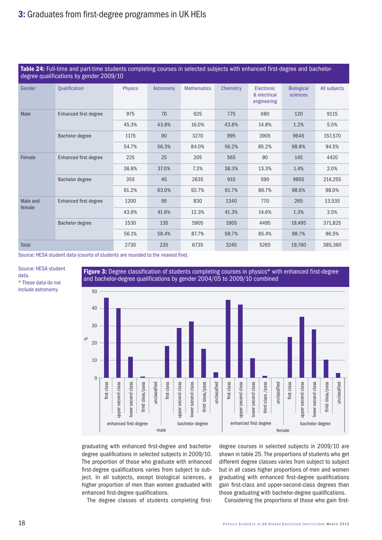|                 | Table 24: Full-time and part-time students completing courses in selected subjects with enhanced first-degree and bachelor-<br>degree qualifications by gender 2009/10 |                |                                                              |                    |           |                                           |                               |              |
|-----------------|------------------------------------------------------------------------------------------------------------------------------------------------------------------------|----------------|--------------------------------------------------------------|--------------------|-----------|-------------------------------------------|-------------------------------|--------------|
| Gender          | Qualification                                                                                                                                                          | <b>Physics</b> | Astronomy                                                    | <b>Mathematics</b> | Chemistry | Electronic<br>& electrical<br>engineering | <b>Biological</b><br>sciences | All subjects |
| Male            | Enhanced first degree                                                                                                                                                  | 975            | 70                                                           | 625                | 775       | 680                                       | 120                           | 9115         |
|                 |                                                                                                                                                                        | 45.3%          | 43.8%                                                        | 16.0%              | 43.8%     | 14.8%                                     | 1.2%                          | 5.5%         |
| Bachelor degree |                                                                                                                                                                        | 1175           | 90                                                           | 3270               | 995       | 3905                                      | 9645                          | 157,570      |
|                 |                                                                                                                                                                        | 54.7%          | 56.3%                                                        | 84.0%              | 56.2%     | 85.2%                                     | 98.8%                         | 94.5%        |
| Female          | <b>Enhanced first degree</b>                                                                                                                                           | 225            | 25                                                           | 205                | 565       | 90                                        | 145                           | 4420         |
|                 |                                                                                                                                                                        | 38.8%          | 37.0%                                                        | 7.3%               | 38.3%     | 13.3%                                     | 1.4%                          | 2.0%         |
|                 | Bachelor degree                                                                                                                                                        | 355            | 45                                                           | 2635               | 910       | 590                                       | 9855                          | 214,255      |
|                 |                                                                                                                                                                        | 61.2%          | 63.0%<br>92.7%<br>61.7%<br>86.7%<br>95<br>830<br>1340<br>770 | 98.6%              | 98.0%     |                                           |                               |              |
| Male and        | Enhanced first degree                                                                                                                                                  | 1200           |                                                              |                    |           |                                           | 265                           | 13,535       |
| female          |                                                                                                                                                                        | 43.9%          | 41.6%                                                        | 12.3%              | 41.3%     | 14.6%                                     | 1.3%                          | 3.5%         |
|                 | Bachelor degree                                                                                                                                                        | 1530           | 135                                                          | 5905               | 1905      | 4495                                      | 19,495                        | 371,825      |
|                 |                                                                                                                                                                        | 56.1%          | 58.4%                                                        | 87.7%              | 58.7%     | 85.4%                                     | 98.7%                         | 96.5%        |
| Total           |                                                                                                                                                                        | 2730           | 235                                                          | 6735               | 3245      | 5265                                      | 19,760                        | 385,360      |

Source: HESA student data (counts of students are rounded to the nearest five).

Source: HESA student data. \* These data do not include astronomy.

Figure 3: Degree classification of students completing courses in physics\* with enhanced first-degree and bachelor-degree qualifications by gender 2004/05 to 2009/10 combined



graduating with enhanced first-degree and bachelordegree qualifications in selected subjects in 2009/10. The proportion of those who graduate with enhanced first-degree qualifications varies from subject to subject. In all subjects, except biological sciences, a higher proportion of men than women graduated with enhanced first-degree qualifications.

The degree classes of students completing first-

degree courses in selected subjects in 2009/10 are shown in table 25. The proportions of students who get different degree classes varies from subject to subject but in all cases higher proportions of men and women graduating with enhanced first-degree qualifications gain first-class and upper-second-class degrees than those graduating with bachelor-degree qualifications.

Considering the proportions of those who gain first-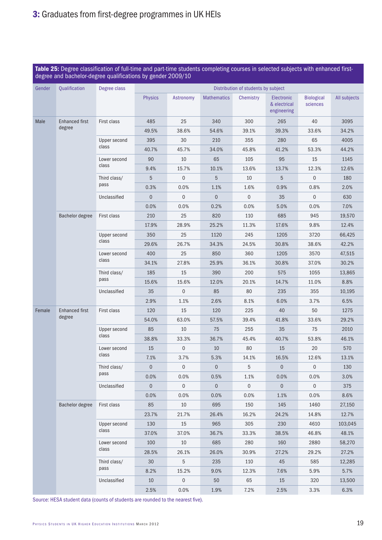|        | Table 25: Degree classification of full-time and part-time students completing courses in selected subjects with enhanced first-<br>degree and bachelor-degree qualifications by gender 2009/10 |              |                                                                     |                                                                                                                                                                                                                                                                                                                                                                                                                                                                                                                                                 |                    |                                     |                                           |                               |              |
|--------|-------------------------------------------------------------------------------------------------------------------------------------------------------------------------------------------------|--------------|---------------------------------------------------------------------|-------------------------------------------------------------------------------------------------------------------------------------------------------------------------------------------------------------------------------------------------------------------------------------------------------------------------------------------------------------------------------------------------------------------------------------------------------------------------------------------------------------------------------------------------|--------------------|-------------------------------------|-------------------------------------------|-------------------------------|--------------|
| Gender | Qualification                                                                                                                                                                                   | Degree class |                                                                     |                                                                                                                                                                                                                                                                                                                                                                                                                                                                                                                                                 |                    | Distribution of students by subject |                                           |                               |              |
|        |                                                                                                                                                                                                 |              | <b>Physics</b>                                                      | Astronomy                                                                                                                                                                                                                                                                                                                                                                                                                                                                                                                                       | <b>Mathematics</b> | <b>Chemistry</b>                    | Electronic<br>& electrical<br>engineering | <b>Biological</b><br>sciences | All subjects |
| Male   | <b>Enhanced first</b>                                                                                                                                                                           | First class  | 485                                                                 | 25                                                                                                                                                                                                                                                                                                                                                                                                                                                                                                                                              | 340                | 300                                 | 265                                       | 40                            | 3095         |
|        | degree                                                                                                                                                                                          |              | 49.5%                                                               | 38.6%                                                                                                                                                                                                                                                                                                                                                                                                                                                                                                                                           | 54.6%              | 39.1%                               | 39.3%                                     | 33.6%                         | 34.2%        |
|        |                                                                                                                                                                                                 | Upper second | 395                                                                 | 30                                                                                                                                                                                                                                                                                                                                                                                                                                                                                                                                              | 210                | 355                                 | 280                                       | 65                            | 4005         |
|        |                                                                                                                                                                                                 | class        | 40.7%                                                               | 45.7%                                                                                                                                                                                                                                                                                                                                                                                                                                                                                                                                           | 34.0%              | 45.8%                               | 41.2%                                     | 53.3%                         | 44.2%        |
|        |                                                                                                                                                                                                 | Lower second | 90                                                                  | 10<br>9.4%<br>15.7%<br>5<br>$\mathbf 0$<br>5<br>0.3%<br>0.0%<br>$\overline{0}$<br>$\overline{0}$<br>$\overline{0}$<br>0.0%<br>0.0%<br>210<br>25<br>17.9%<br>28.9%<br>350<br>25<br>29.6%<br>26.7%<br>400<br>25<br>34.1%<br>27.8%<br>185<br>15<br>15.6%<br>15.6%<br>35<br>$\overline{0}$<br>2.9%<br>1.1%<br>120<br>15<br>54.0%<br>63.0%<br>85<br>10<br>38.8%<br>33.3%<br>15<br>$\boldsymbol{0}$<br>7.1%<br>3.7%<br>$\mathbf 0$<br>$\mathbf 0$<br>$\mathbf 0$<br>0.0%<br>0.0%<br>$\mathbf 0$<br>$\overline{0}$<br>$\boldsymbol{0}$<br>0.0%<br>0.0% | 65                 | 105                                 | 95                                        | 15                            | 1145         |
|        |                                                                                                                                                                                                 | class        |                                                                     |                                                                                                                                                                                                                                                                                                                                                                                                                                                                                                                                                 | 10.1%              | 13.6%                               | 13.7%                                     | 12.3%                         | 12.6%        |
|        |                                                                                                                                                                                                 | Third class/ |                                                                     |                                                                                                                                                                                                                                                                                                                                                                                                                                                                                                                                                 |                    | 10                                  | 5                                         | $\mathbf 0$                   | 180          |
|        |                                                                                                                                                                                                 | pass         |                                                                     |                                                                                                                                                                                                                                                                                                                                                                                                                                                                                                                                                 | 1.1%               | 1.6%                                | 0.9%                                      | 0.8%                          | 2.0%         |
|        |                                                                                                                                                                                                 | Unclassified |                                                                     |                                                                                                                                                                                                                                                                                                                                                                                                                                                                                                                                                 |                    | $\mathbf{0}$                        | 35                                        | $\mathbf 0$                   | 630          |
|        |                                                                                                                                                                                                 |              |                                                                     |                                                                                                                                                                                                                                                                                                                                                                                                                                                                                                                                                 | 0.2%               | 0.0%                                | 5.0%                                      | 0.0%                          | 7.0%         |
|        | <b>Bachelor degree</b>                                                                                                                                                                          | First class  |                                                                     |                                                                                                                                                                                                                                                                                                                                                                                                                                                                                                                                                 | 820                | 110                                 | 685                                       | 945                           | 19,570       |
|        |                                                                                                                                                                                                 |              |                                                                     |                                                                                                                                                                                                                                                                                                                                                                                                                                                                                                                                                 | 25.2%              | 11.3%                               | 17.6%                                     | 9.8%                          | 12.4%        |
|        |                                                                                                                                                                                                 | Upper second |                                                                     |                                                                                                                                                                                                                                                                                                                                                                                                                                                                                                                                                 | 1120               | 245                                 | 1205                                      | 3720                          | 66,425       |
|        |                                                                                                                                                                                                 | class        |                                                                     |                                                                                                                                                                                                                                                                                                                                                                                                                                                                                                                                                 | 34.3%              | 24.5%                               | 30.8%                                     | 38.6%                         | 42.2%        |
|        |                                                                                                                                                                                                 | Lower second |                                                                     |                                                                                                                                                                                                                                                                                                                                                                                                                                                                                                                                                 | 850                | 360                                 | 1205                                      | 3570                          | 47,515       |
|        | class                                                                                                                                                                                           |              |                                                                     | 25.9%                                                                                                                                                                                                                                                                                                                                                                                                                                                                                                                                           | 36.1%              | 30.8%                               | 37.0%                                     | 30.2%                         |              |
|        | Third class/                                                                                                                                                                                    |              |                                                                     | 390                                                                                                                                                                                                                                                                                                                                                                                                                                                                                                                                             | 200                | 575                                 | 1055                                      | 13,865                        |              |
|        |                                                                                                                                                                                                 | pass         |                                                                     |                                                                                                                                                                                                                                                                                                                                                                                                                                                                                                                                                 | 12.0%              | 20.1%                               | 14.7%                                     | 11.0%                         | 8.8%         |
|        |                                                                                                                                                                                                 | Unclassified |                                                                     |                                                                                                                                                                                                                                                                                                                                                                                                                                                                                                                                                 | 85                 | 80                                  | 235                                       | 355                           | 10,195       |
|        |                                                                                                                                                                                                 |              |                                                                     |                                                                                                                                                                                                                                                                                                                                                                                                                                                                                                                                                 | 2.6%               | 8.1%                                | 6.0%                                      | 3.7%                          | 6.5%         |
| Female | <b>Enhanced first</b><br>degree                                                                                                                                                                 | First class  |                                                                     |                                                                                                                                                                                                                                                                                                                                                                                                                                                                                                                                                 | 120                | 225                                 | 40                                        | 50                            | 1275         |
|        |                                                                                                                                                                                                 |              |                                                                     |                                                                                                                                                                                                                                                                                                                                                                                                                                                                                                                                                 | 57.5%              | 39.4%                               | 41.8%                                     | 33.6%                         | 29.2%        |
|        |                                                                                                                                                                                                 | Upper second |                                                                     |                                                                                                                                                                                                                                                                                                                                                                                                                                                                                                                                                 | 75                 | 255                                 | 35                                        | 75                            | 2010         |
|        |                                                                                                                                                                                                 | class        |                                                                     |                                                                                                                                                                                                                                                                                                                                                                                                                                                                                                                                                 | 36.7%              | 45.4%                               | 40.7%                                     | 53.8%                         | 46.1%        |
|        |                                                                                                                                                                                                 | Lower second | 85<br>23.7%<br>130<br>37.0%<br>100<br>28.5%<br>30<br>8.2%<br>$10\,$ |                                                                                                                                                                                                                                                                                                                                                                                                                                                                                                                                                 | 10                 | 80                                  | 15                                        | 20                            | 570          |
|        |                                                                                                                                                                                                 | class        |                                                                     |                                                                                                                                                                                                                                                                                                                                                                                                                                                                                                                                                 | 5.3%               | 14.1%                               | 16.5%                                     | 12.6%                         | 13.1%        |
|        |                                                                                                                                                                                                 | Third class/ |                                                                     |                                                                                                                                                                                                                                                                                                                                                                                                                                                                                                                                                 |                    | 5                                   | $\boldsymbol{0}$                          | 0                             | 130          |
|        |                                                                                                                                                                                                 | pass         |                                                                     |                                                                                                                                                                                                                                                                                                                                                                                                                                                                                                                                                 | 0.5%               | 1.1%                                | 0.0%                                      | 0.0%                          | 3.0%         |
|        |                                                                                                                                                                                                 | Unclassified |                                                                     |                                                                                                                                                                                                                                                                                                                                                                                                                                                                                                                                                 |                    | $\mathbf 0$                         | $\overline{0}$                            | $\mathbf 0$                   | 375          |
|        |                                                                                                                                                                                                 |              |                                                                     |                                                                                                                                                                                                                                                                                                                                                                                                                                                                                                                                                 | 0.0%               | 0.0%                                | 1.1%                                      | 0.0%                          | 8.6%         |
|        | Bachelor degree                                                                                                                                                                                 | First class  |                                                                     | 10                                                                                                                                                                                                                                                                                                                                                                                                                                                                                                                                              | 695                | 150                                 | 145                                       | 1460                          | 27,150       |
|        |                                                                                                                                                                                                 |              |                                                                     | 21.7%                                                                                                                                                                                                                                                                                                                                                                                                                                                                                                                                           | 26.4%              | 16.2%                               | 24.2%                                     | 14.8%                         | 12.7%        |
|        |                                                                                                                                                                                                 | Upper second |                                                                     | 15                                                                                                                                                                                                                                                                                                                                                                                                                                                                                                                                              | 965                | 305                                 | 230                                       | 4610                          | 103,045      |
|        |                                                                                                                                                                                                 | class        |                                                                     | 37.0%                                                                                                                                                                                                                                                                                                                                                                                                                                                                                                                                           | 36.7%              | 33.3%                               | 38.5%                                     | 46.8%                         | 48.1%        |
|        |                                                                                                                                                                                                 | Lower second |                                                                     | 10                                                                                                                                                                                                                                                                                                                                                                                                                                                                                                                                              | 685                | 280                                 | 160                                       | 2880                          | 58,270       |
|        |                                                                                                                                                                                                 | class        |                                                                     | 26.1%                                                                                                                                                                                                                                                                                                                                                                                                                                                                                                                                           | 26.0%              | 30.9%                               | 27.2%                                     | 29.2%                         | 27.2%        |
|        |                                                                                                                                                                                                 | Third class/ |                                                                     | 5                                                                                                                                                                                                                                                                                                                                                                                                                                                                                                                                               | 235                | 110                                 | 45                                        | 585                           | 12,285       |
|        |                                                                                                                                                                                                 | pass         |                                                                     | 15.2%                                                                                                                                                                                                                                                                                                                                                                                                                                                                                                                                           | 9.0%               | 12.3%                               | 7.6%                                      | 5.9%                          | 5.7%         |
|        |                                                                                                                                                                                                 | Unclassified |                                                                     | $\mathbf 0$                                                                                                                                                                                                                                                                                                                                                                                                                                                                                                                                     | 50                 | 65                                  | 15                                        | 320                           | 13,500       |
|        |                                                                                                                                                                                                 |              | 2.5%                                                                | $0.0\%$                                                                                                                                                                                                                                                                                                                                                                                                                                                                                                                                         | $1.9\%$            | 7.2%                                | 2.5%                                      | 3.3%                          | 6.3%         |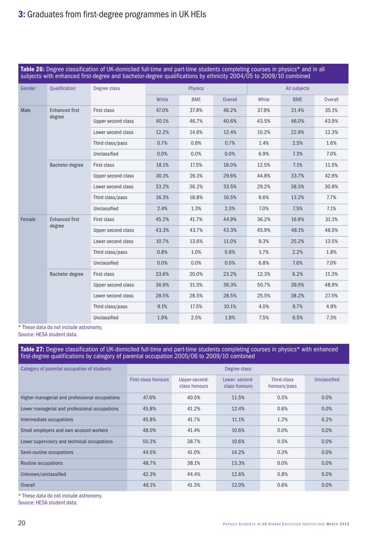|                 | Table 26: Degree classification of UK-domiciled full-time and part-time students completing courses in physics* and in all<br>subjects with enhanced first-degree and bachelor-degree qualifications by ethnicity 2004/05 to 2009/10 combined |                    |                |            |                |              |            |                |  |
|-----------------|-----------------------------------------------------------------------------------------------------------------------------------------------------------------------------------------------------------------------------------------------|--------------------|----------------|------------|----------------|--------------|------------|----------------|--|
| Gender          | <b>Qualification</b>                                                                                                                                                                                                                          | Degree class       | <b>Physics</b> |            |                | All subjects |            |                |  |
|                 |                                                                                                                                                                                                                                               |                    | White          | <b>BME</b> | <b>Overall</b> | White        | <b>BME</b> | <b>Overall</b> |  |
| Male            | <b>Enhanced first</b>                                                                                                                                                                                                                         | First class        | 47.0%          | 37.8%      | 46.2%          | 37.9%        | 21.4%      | 35.1%          |  |
|                 | degree                                                                                                                                                                                                                                        | Upper second class | 40.1%          | 46.7%      | 40.6%          | 43.5%        | 46.0%      | 43.9%          |  |
|                 |                                                                                                                                                                                                                                               | Lower second class | 12.2%          | 14.6%      | 12.4%          | 10.2%        | 22.9%      | 12.3%          |  |
|                 |                                                                                                                                                                                                                                               | Third class/pass   | 0.7%           | 0.8%       | 0.7%           | 1.4%         | 2.5%       | 1.6%           |  |
|                 |                                                                                                                                                                                                                                               | Unclassified       | 0.0%           | 0.0%       | 0.0%           | 6.9%         | 7.3%       | 7.0%           |  |
| Bachelor degree | First class                                                                                                                                                                                                                                   | 18.1%              | 17.5%          | 18.0%      | 12.5%          | 7.1%         | 11.5%      |                |  |
|                 | Upper second class                                                                                                                                                                                                                            | 30.1%              | 26.1%          | 29.6%      | 44.8%          | 33.7%        | 42.9%      |                |  |
|                 | Lower second class                                                                                                                                                                                                                            | 33.2%              | 36.2%          | 33.5%      | 29.2%          | 38.5%        | 30.8%      |                |  |
|                 | Third class/pass                                                                                                                                                                                                                              | 16.3%              | 18.8%          | 16.5%      | 6.6%           | 13.2%        | 7.7%       |                |  |
|                 |                                                                                                                                                                                                                                               | Unclassified       | 2.4%           | 1.3%       | 2.3%           | 7.0%         | 7.5%       | 7.1%           |  |
| Female          | <b>Enhanced first</b>                                                                                                                                                                                                                         | First class        | 45.2%          | 41.7%      | 44.9%          | 36.2%        | 16.9%      | 31.1%          |  |
|                 | degree                                                                                                                                                                                                                                        | Upper second class | 43.3%          | 43.7%      | 43.3%          | 45.9%        | 48.1%      | 46.5%          |  |
|                 |                                                                                                                                                                                                                                               | Lower second class | 10.7%          | 13.6%      | 11.0%          | 9.3%         | 25.2%      | 13.5%          |  |
|                 |                                                                                                                                                                                                                                               | Third class/pass   | 0.8%           | 1.0%       | 0.8%           | 1.7%         | 2.2%       | 1.8%           |  |
|                 |                                                                                                                                                                                                                                               | Unclassified       | 0.0%           | 0.0%       | 0.0%           | 6.8%         | 7.6%       | 7.0%           |  |
|                 | Bachelor degree                                                                                                                                                                                                                               | First class        | 23.6%          | 20.0%      | 23.2%          | 12.3%        | 6.2%       | 11.3%          |  |
|                 |                                                                                                                                                                                                                                               | Upper second class | 36.9%          | 31.5%      | 36.3%          | 50.7%        | 39.5%      | 48.9%          |  |
|                 |                                                                                                                                                                                                                                               | Lower second class | 28.5%          | 28.5%      | 28.5%          | 25.5%        | 38.2%      | 27.5%          |  |
|                 |                                                                                                                                                                                                                                               | Third class/pass   | 9.1%           | 17.5%      | 10.1%          | 4.0%         | 9.7%       | 4.9%           |  |
|                 |                                                                                                                                                                                                                                               | Unclassified       | 1.9%           | 2.5%       | 1.9%           | 7.5%         | 6.5%       | 7.3%           |  |

\* These data do not include astronomy.

Source: HESA student data.

### Table 27: Degree classification of UK-domiciled full-time and part-time students completing courses in physics\* with enhanced first-degree qualifications by category of parental occupation 2005/06 to 2009/10 combined

| Category of parental occupation of students    |                     | Degree class                   |                                |                             |              |  |  |  |
|------------------------------------------------|---------------------|--------------------------------|--------------------------------|-----------------------------|--------------|--|--|--|
|                                                | First-class honours | Upper-second-<br>class honours | Lower-second-<br>class honours | Third-class<br>honours/pass | Unclassified |  |  |  |
| Higher managerial and professional occupations | 47.6%               | 40.5%                          | 11.5%                          | 0.5%                        | 0.0%         |  |  |  |
| Lower managerial and professional occupations  | 45.8%               | 41.2%                          | 12.4%                          | 0.6%                        | 0.0%         |  |  |  |
| Intermediate occupations                       | 45.8%               | 41.7%                          | 11.1%                          | 1.2%                        | 0.2%         |  |  |  |
| Small employers and own account workers        | 48.0%               | 41.4%                          | 10.6%                          | 0.0%                        | 0.0%         |  |  |  |
| Lower supervisory and technical occupations    | 50.3%               | 38.7%                          | 10.6%                          | 0.5%                        | 0.0%         |  |  |  |
| Semi-routine occupations                       | 44.5%               | 41.0%                          | 14.2%                          | 0.3%                        | 0.0%         |  |  |  |
| Routine occupations                            | 48.7%               | 38.1%                          | 13.3%                          | 0.0%                        | 0.0%         |  |  |  |
| Unknown/unclassified                           | 42.3%               | 44.4%                          | 12.6%                          | 0.8%                        | 0.0%         |  |  |  |
| Overall                                        | 46.1%               | 41.3%                          | 12.0%                          | 0.6%                        | 0.0%         |  |  |  |

\* These data do not include astronomy.

Source: HESA student data.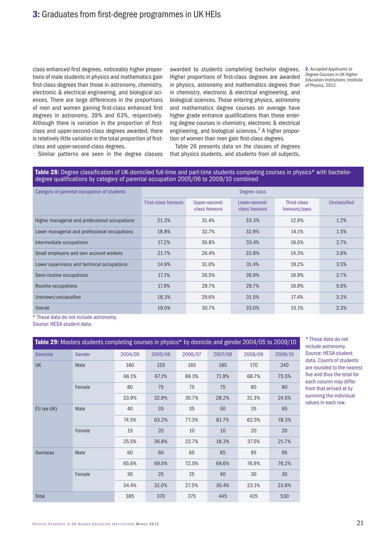class enhanced first degrees, noticeably higher proportions of male students in physics and mathematics gain first-class degrees than those in astronomy, chemistry, electronic & electrical engineering, and biological sciences. There are large differences in the proportions of men and women gaining first-class enhanced first degrees in astronomy, 39% and 63%, respectively. Although there is variation in the proportion of firstclass and upper-second-class degrees awarded, there is relatively little variation in the total proportion of firstclass and upper-second-class degrees.

awarded to students completing bachelor degrees. Higher proportions of first-class degrees are awarded in physics, astronomy and mathematics degrees than in chemistry, electronic & electrical engineering, and biological sciences. Those entering physics, astronomy and mathematics degree courses on average have higher grade entrance qualifications than those entering degree courses in chemistry, electronic & electrical engineering, and biological sciences.<sup>2</sup> A higher proportion of women than men gain first-class degrees.

2. *Accepted Applicants to Degree Courses in UK Higher Education Institutions*, Institute of Physics, 2012.

Similar patterns are seen in the degree classes

Table 26 presents data on the classes of degrees that physics students, and students from all subjects,

#### Table 28: Degree classification of UK-domiciled full-time and part-time students completing courses in physics\* with bachelordegree qualifications by category of parental occupation 2005/06 to 2009/10 combined

| Category of parental occupation of students    |                     |                                | Degree class                   |                             |              |
|------------------------------------------------|---------------------|--------------------------------|--------------------------------|-----------------------------|--------------|
|                                                | First-class honours | Upper-second-<br>class honours | Lower-second-<br>class honours | Third-class<br>honours/pass | Unclassified |
| Higher managerial and professional occupations | 21.3%               | 31.4%                          | 33.3%                          | 12.9%                       | 1.2%         |
| Lower managerial and professional occupations  | 18.8%               | 32.7%                          | 32.9%                          | 14.1%                       | 1.5%         |
| Intermediate occupations                       | 17.2%               | 30.8%                          | 33.4%                          | 16.0%                       | 2.7%         |
| Small employers and own account workers        | 21.7%               | 26.4%                          | 33.8%                          | 14.3%                       | 3.8%         |
| Lower supervisory and technical occupations    | 14.9%               | 31.0%                          | 31.4%                          | 19.2%                       | 3.5%         |
| Semi-routine occupations                       | 17.1%               | 26.5%                          | 36.9%                          | 16.9%                       | 2.7%         |
| Routine occupations                            | 17.9%               | 29.7%                          | 29.7%                          | 16.9%                       | 5.6%         |
| Unknown/unclassified                           | 18.3%               | 29.6%                          | 31.5%                          | 17.4%                       | 3.2%         |
| <b>Overall</b>                                 | 19.0%               | 30.7%                          | 33.0%                          | 15.1%                       | 2.3%         |

\* These data do not include astronomy.

Source: HESA student data.

|                 | Table 29: Masters students completing courses in physics* by domicile and gender 2004/05 to 2009/10 |         |         |                                                                                                                               |         |         |         |  |
|-----------------|-----------------------------------------------------------------------------------------------------|---------|---------|-------------------------------------------------------------------------------------------------------------------------------|---------|---------|---------|--|
| <b>Domicile</b> | Gender                                                                                              | 2004/05 | 2005/06 | 2006/07                                                                                                                       | 2007/08 | 2008/09 | 2009/10 |  |
| <b>UK</b>       | Male                                                                                                | 160     | 155     | 165                                                                                                                           | 185     | 170     | 240     |  |
|                 |                                                                                                     | 66.1%   | 67.1%   | 69.3%                                                                                                                         | 71.8%   | 68.7%   | 75.5%   |  |
|                 | Female                                                                                              | 80      | 75      | 75                                                                                                                            | 75      | 80      | 80      |  |
|                 |                                                                                                     | 33.9%   | 32.9%   | 30.7%                                                                                                                         | 28.2%   | 31.3%   | 24.5%   |  |
| EU (ex-UK)      | Male                                                                                                | 40      | 35      | 35                                                                                                                            | 50      | 35      | 65      |  |
|                 |                                                                                                     | 74.5%   | 63.2%   | 77.3%                                                                                                                         | 81.7%   | 62.5%   | 78.3%   |  |
|                 | Female                                                                                              | 15      | 20      | 10                                                                                                                            | 10      | 20      | 20      |  |
|                 |                                                                                                     | 25.5%   | 36.8%   | 22.7%<br>18.3%<br>60<br>85<br>65<br>69.0%<br>69.6%<br>72.5%<br>25<br>25<br>40<br>31.0%<br>27.5%<br>30.4%<br>370<br>445<br>375 | 37.5%   | 21.7%   |         |  |
| Overseas        | Male                                                                                                | 60      |         |                                                                                                                               |         | 95      | 95      |  |
|                 |                                                                                                     | 65.6%   |         |                                                                                                                               |         | 76.9%   | 76.2%   |  |
|                 | Female                                                                                              | 30      |         |                                                                                                                               |         | 30      | 30      |  |
|                 |                                                                                                     | 34.4%   |         |                                                                                                                               |         | 23.1%   | 23.8%   |  |
| Total           |                                                                                                     | 385     |         |                                                                                                                               |         | 425     | 530     |  |

\* These data do not include astronomy. Source: HESA student data. Counts of students are rounded to the nearest five and thus the total for each column may differ from that arrived at by summing the individual values in each row.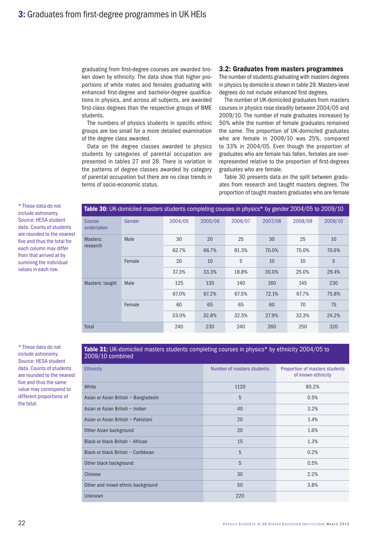graduating from first-degree courses are awarded broken down by ethnicity. The data show that higher proportions of white males and females graduating with enhanced first-degree and bachelor-degree qualifications in physics, and across all subjects, are awarded first-class degrees than the respective groups of BME students.

The numbers of physics students in specific ethnic groups are too small for a more detailed examination of the degree class awarded.

Data on the degree classes awarded to physics students by categories of parental occupation are presented in tables 27 and 28. There is variation in the patterns of degree classes awarded by category of parental occupation but there are no clear trends in terms of socio-economic status.

## 3.2: Graduates from masters programmes

The number of students graduating with masters degrees in physics by domicile is shown in table 29. Masters-level degrees do not include enhanced first degrees.

The number of UK-domiciled graduates from masters courses in physics rose steadily between 2004/05 and 2009/10. The number of male graduates increased by 50% while the number of female graduates remained the same. The proportion of UK-domiciled graduates who are female in 2009/10 was 25%, compared to 33% in 2004/05. Even though the proportion of graduates who are female has fallen, females are overrepresented relative to the proportion of first-degrees graduates who are female.

Table 30 presents data on the split between graduates from research and taught masters degrees. The proportion of taught masters graduates who are female

\* These data do not include astronomy. Source: HESA student data. Counts of students are rounded to the nearest five and thus the total for each column may differ from that arrived at by summing the individual values in each row.

Table 30: UK-domiciled masters students completing courses in physics\* by gender 2004/05 to 2009/10 Course undertaken Gender 2004/05 2005/06 2006/07 2007/08 2008/09 2009/10 Masters: research Male 30 20 25 30 25 10 62.7% 66.7% 81.3% 70.0% 75.0% 70.6% Female 20 10 5 10 10 5 37.3% 33.3% 18.8% 30.0% 25.0% 29.4% Masters: taught Male 125 135 140 160 145 230 67.0% 67.2% 67.5% 72.1% 67.7% 75.8% Female 60 65 65 60 70 75 33.0% 32.8% 32.5% 27.9% 32.3% 24.2% Total 240 230 240 260 250 320

\* These data do not include astronomy. Source: HESA student data. Counts of students are rounded to the nearest five and thus the same value may correspond to different proportions of the total.

Table 31: UK-domiciled masters students completing courses in physics\* by ethnicity 2004/05 to 2009/10 combined

| <b>Ethnicity</b>                     | Number of masters students | Proportion of masters students<br>of known ethnicity |
|--------------------------------------|----------------------------|------------------------------------------------------|
| White                                | 1120                       | 85.2%                                                |
| Asian or Asian British - Bangladeshi | 5                          | 0.5%                                                 |
| Asian or Asian British - Indian      | 40                         | 3.2%                                                 |
| Asian or Asian British - Pakistani   | 20                         | 1.4%                                                 |
| Other Asian background               | 20                         | 1.6%                                                 |
| Black or black British - African     | 15                         | 1.3%                                                 |
| Black or black British - Caribbean   | 5                          | 0.2%                                                 |
| Other black background               | 5                          | 0.5%                                                 |
| Chinese                              | 30                         | 2.2%                                                 |
| Other and mixed ethnic background    | 50                         | 3.8%                                                 |
| Unknown                              | 220                        |                                                      |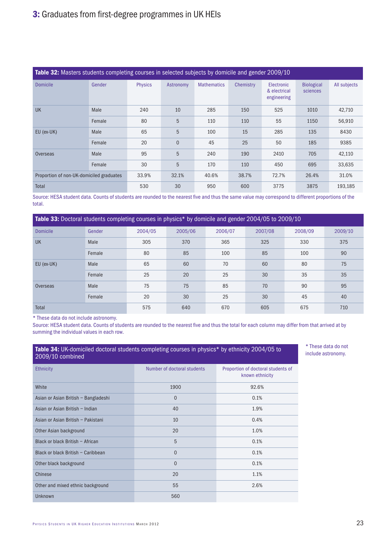| Table 32: Masters students completing courses in selected subjects by domicile and gender 2009/10 |        |                |                |                    |           |                                                  |                               |              |
|---------------------------------------------------------------------------------------------------|--------|----------------|----------------|--------------------|-----------|--------------------------------------------------|-------------------------------|--------------|
| <b>Domicile</b>                                                                                   | Gender | <b>Physics</b> | Astronomy      | <b>Mathematics</b> | Chemistry | <b>Electronic</b><br>& electrical<br>engineering | <b>Biological</b><br>sciences | All subjects |
| <b>UK</b>                                                                                         | Male   | 240            | 10             | 285                | 150       | 525                                              | 1010                          | 42,710       |
|                                                                                                   | Female | 80             | 5              | 110                | 110       | 55                                               | 1150                          | 56,910       |
| EU (ex-UK)                                                                                        | Male   | 65             | 5              | 100                | 15        | 285                                              | 135                           | 8430         |
|                                                                                                   | Female | 20             | $\overline{0}$ | 45                 | 25        | 50                                               | 185                           | 9385         |
| <b>Overseas</b>                                                                                   | Male   | 95             | 5              | 240                | 190       | 2410                                             | 705                           | 42,110       |
|                                                                                                   | Female | 30             | 5              | 170                | 110       | 450                                              | 695                           | 33,635       |
| Proportion of non-UK-domiciled graduates                                                          |        | 33.9%          | 32.1%          | 40.6%              | 38.7%     | 72.7%                                            | 26.4%                         | 31.0%        |
| Total                                                                                             |        | 530            | 30             | 950                | 600       | 3775                                             | 3875                          | 193,185      |

Source: HESA student data. Counts of students are rounded to the nearest five and thus the same value may correspond to different proportions of the total.

Table 33: Doctoral students completing courses in physics\* by domicile and gender 2004/05 to 2009/10

| <b>Domicile</b> | Gender | 2004/05 | 2005/06 | 2006/07 | 2007/08 | 2008/09 | 2009/10                                                          |
|-----------------|--------|---------|---------|---------|---------|---------|------------------------------------------------------------------|
| <b>UK</b>       | Male   | 305     | 370     | 365     | 325     | 330     | 375                                                              |
|                 | Female | 80      | 85      | 100     | 85      | 100     | 90<br>75<br>80<br>35<br>35<br>95<br>90<br>40<br>45<br>675<br>710 |
| EU (ex-UK)      | Male   | 65      | 60      | 70      | 60      |         |                                                                  |
|                 | Female | 25      | 20      | 25      | 30      |         |                                                                  |
| Overseas        | Male   | 75      | 75      | 85      | 70      |         |                                                                  |
|                 | Female | 20      | 30      | 25      | 30      |         |                                                                  |
| Total           |        | 575     | 640     | 670     | 605     |         |                                                                  |

\* These data do not include astronomy.

Source: HESA student data. Counts of students are rounded to the nearest five and thus the total for each column may differ from that arrived at by summing the individual values in each row.

| Table 34: UK-domiciled doctoral students completing courses in physics* by ethnicity 2004/05 to<br>2009/10 combined |                             |                                                       |  |  |  |  |  |  |  |
|---------------------------------------------------------------------------------------------------------------------|-----------------------------|-------------------------------------------------------|--|--|--|--|--|--|--|
| <b>Ethnicity</b>                                                                                                    | Number of doctoral students | Proportion of doctoral students of<br>known ethnicity |  |  |  |  |  |  |  |
| White                                                                                                               | 1900                        | 92.6%                                                 |  |  |  |  |  |  |  |
| Asian or Asian British - Bangladeshi                                                                                | $\Omega$                    | 0.1%                                                  |  |  |  |  |  |  |  |
| Asian or Asian British - Indian                                                                                     | 40                          | 1.9%                                                  |  |  |  |  |  |  |  |
| Asian or Asian British - Pakistani                                                                                  | 10                          | 0.4%                                                  |  |  |  |  |  |  |  |
| Other Asian background                                                                                              | 20                          | 1.0%                                                  |  |  |  |  |  |  |  |
| Black or black British - African                                                                                    | 5                           | 0.1%                                                  |  |  |  |  |  |  |  |
| Black or black British - Caribbean                                                                                  | $\Omega$                    | 0.1%                                                  |  |  |  |  |  |  |  |
| Other black background                                                                                              | $\Omega$                    | 0.1%                                                  |  |  |  |  |  |  |  |
| Chinese                                                                                                             | 20                          | 1.1%                                                  |  |  |  |  |  |  |  |
| Other and mixed ethnic background                                                                                   | 55                          | 2.6%                                                  |  |  |  |  |  |  |  |
| Unknown                                                                                                             | 560                         |                                                       |  |  |  |  |  |  |  |

\* These data do not include astronomy.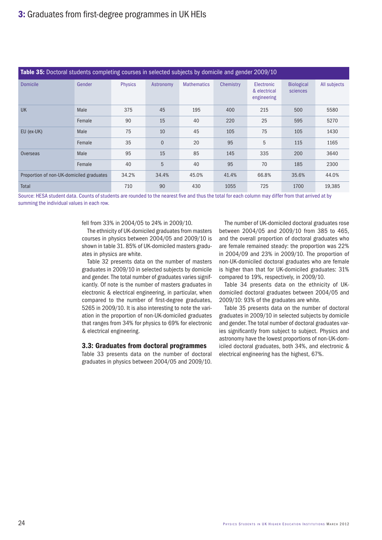|                                          | Table 35: Doctoral students completing courses in selected subjects by domicile and gender 2009/10 |                |                |                    |           |                                                  |                               |              |  |
|------------------------------------------|----------------------------------------------------------------------------------------------------|----------------|----------------|--------------------|-----------|--------------------------------------------------|-------------------------------|--------------|--|
| <b>Domicile</b>                          | Gender                                                                                             | <b>Physics</b> | Astronomy      | <b>Mathematics</b> | Chemistry | <b>Electronic</b><br>& electrical<br>engineering | <b>Biological</b><br>sciences | All subjects |  |
| <b>UK</b>                                | Male                                                                                               | 375            | 45             | 195                | 400       | 215                                              | 500                           | 5580         |  |
|                                          | Female                                                                                             | 90             | 15             | 40                 | 220       | 25                                               | 595                           | 5270         |  |
| EU (ex-UK)                               | Male                                                                                               | 75             | 10             | 45                 | 105       | 75                                               | 105                           | 1430         |  |
|                                          | Female                                                                                             | 35             | $\overline{0}$ | 20                 | 95        | 5                                                | 115                           | 1165         |  |
| Overseas                                 | Male                                                                                               | 95             | 15             | 85                 | 145       | 335                                              | 200                           | 3640         |  |
|                                          | Female                                                                                             | 40             | 5              | 40                 | 95        | 70                                               | 185                           | 2300         |  |
| Proportion of non-UK-domiciled graduates |                                                                                                    | 34.2%          | 34.4%          | 45.0%              | 41.4%     | 66.8%                                            | 35.6%                         | 44.0%        |  |
| <b>Total</b>                             |                                                                                                    | 710            | 90             | 430                | 1055      | 725                                              | 1700                          | 19,385       |  |

Source: HESA student data. Counts of students are rounded to the nearest five and thus the total for each column may differ from that arrived at by summing the individual values in each row.

fell from 33% in 2004/05 to 24% in 2009/10.

The ethnicity of UK-domiciled graduates from masters courses in physics between 2004/05 and 2009/10 is shown in table 31. 85% of UK-domiciled masters graduates in physics are white.

Table 32 presents data on the number of masters graduates in 2009/10 in selected subjects by domicile and gender. The total number of graduates varies significantly. Of note is the number of masters graduates in electronic & electrical engineering, in particular, when compared to the number of first-degree graduates, 5265 in 2009/10. It is also interesting to note the variation in the proportion of non-UK-domiciled graduates that ranges from 34% for physics to 69% for electronic & electrical engineering.

#### 3.3: Graduates from doctoral programmes

Table 33 presents data on the number of doctoral graduates in physics between 2004/05 and 2009/10.

The number of UK-domiciled doctoral graduates rose between 2004/05 and 2009/10 from 385 to 465, and the overall proportion of doctoral graduates who are female remained steady: the proportion was 22% in 2004/09 and 23% in 2009/10. The proportion of non-UK-domiciled doctoral graduates who are female is higher than that for UK-domiciled graduates: 31% compared to 19%, respectively, in 2009/10.

Table 34 presents data on the ethnicity of UKdomiciled doctoral graduates between 2004/05 and 2009/10: 93% of the graduates are white.

Table 35 presents data on the number of doctoral graduates in 2009/10 in selected subjects by domicile and gender. The total number of doctoral graduates varies significantly from subject to subject. Physics and astronomy have the lowest proportions of non-UK-domiciled doctoral graduates, both 34%, and electronic & electrical engineering has the highest, 67%.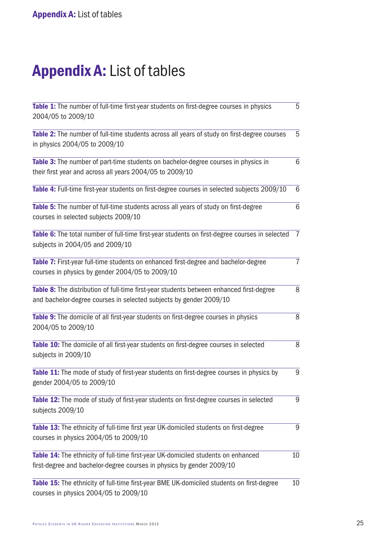## Appendix A: List of tables

| Table 1: The number of full-time first-year students on first-degree courses in physics                                                                        | 5              |
|----------------------------------------------------------------------------------------------------------------------------------------------------------------|----------------|
| 2004/05 to 2009/10                                                                                                                                             |                |
| Table 2: The number of full-time students across all years of study on first-degree courses<br>in physics 2004/05 to 2009/10                                   | 5              |
| Table 3: The number of part-time students on bachelor-degree courses in physics in<br>their first year and across all years 2004/05 to 2009/10                 | 6              |
| Table 4: Full-time first-year students on first-degree courses in selected subjects 2009/10                                                                    | 6              |
| Table 5: The number of full-time students across all years of study on first-degree<br>courses in selected subjects 2009/10                                    | 6              |
| Table 6: The total number of full-time first-year students on first-degree courses in selected<br>subjects in 2004/05 and 2009/10                              | $\overline{7}$ |
| Table 7: First-year full-time students on enhanced first-degree and bachelor-degree<br>courses in physics by gender 2004/05 to 2009/10                         | $\overline{7}$ |
| Table 8: The distribution of full-time first-year students between enhanced first-degree<br>and bachelor-degree courses in selected subjects by gender 2009/10 | 8              |
| Table 9: The domicile of all first-year students on first-degree courses in physics<br>2004/05 to 2009/10                                                      | 8              |
| Table 10: The domicile of all first-year students on first-degree courses in selected<br>subjects in 2009/10                                                   | 8              |
| Table 11: The mode of study of first-year students on first-degree courses in physics by<br>gender 2004/05 to 2009/10                                          | 9              |
| Table 12: The mode of study of first-year students on first-degree courses in selected<br>subjects 2009/10                                                     | 9              |
| Table 13: The ethnicity of full-time first year UK-domiciled students on first-degree<br>courses in physics 2004/05 to 2009/10                                 | 9              |
| Table 14: The ethnicity of full-time first-year UK-domiciled students on enhanced<br>first-degree and bachelor-degree courses in physics by gender 2009/10     | 10             |
| Table 15: The ethnicity of full-time first-year BME UK-domiciled students on first-degree<br>courses in physics 2004/05 to 2009/10                             | 10             |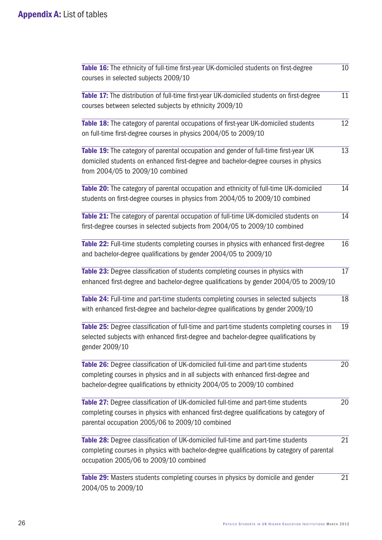| Table 16: The ethnicity of full-time first-year UK-domiciled students on first-degree<br>courses in selected subjects 2009/10                                                                                                                   | 10 |
|-------------------------------------------------------------------------------------------------------------------------------------------------------------------------------------------------------------------------------------------------|----|
| Table 17: The distribution of full-time first-year UK-domiciled students on first-degree<br>courses between selected subjects by ethnicity 2009/10                                                                                              | 11 |
| Table 18: The category of parental occupations of first-year UK-domiciled students<br>on full-time first-degree courses in physics 2004/05 to 2009/10                                                                                           | 12 |
| Table 19: The category of parental occupation and gender of full-time first-year UK<br>domiciled students on enhanced first-degree and bachelor-degree courses in physics<br>from 2004/05 to 2009/10 combined                                   | 13 |
| Table 20: The category of parental occupation and ethnicity of full-time UK-domiciled<br>students on first-degree courses in physics from 2004/05 to 2009/10 combined                                                                           | 14 |
| Table 21: The category of parental occupation of full-time UK-domiciled students on<br>first-degree courses in selected subjects from 2004/05 to 2009/10 combined                                                                               | 14 |
| Table 22: Full-time students completing courses in physics with enhanced first-degree<br>and bachelor-degree qualifications by gender 2004/05 to 2009/10                                                                                        | 16 |
| Table 23: Degree classification of students completing courses in physics with<br>enhanced first-degree and bachelor-degree qualifications by gender 2004/05 to 2009/10                                                                         | 17 |
| Table 24: Full-time and part-time students completing courses in selected subjects<br>with enhanced first-degree and bachelor-degree qualifications by gender 2009/10                                                                           | 18 |
| Table 25: Degree classification of full-time and part-time students completing courses in<br>selected subjects with enhanced first-degree and bachelor-degree qualifications by<br>gender 2009/10                                               | 19 |
| Table 26: Degree classification of UK-domiciled full-time and part-time students<br>completing courses in physics and in all subjects with enhanced first-degree and<br>bachelor-degree qualifications by ethnicity 2004/05 to 2009/10 combined | 20 |
| Table 27: Degree classification of UK-domiciled full-time and part-time students<br>completing courses in physics with enhanced first-degree qualifications by category of<br>parental occupation 2005/06 to 2009/10 combined                   | 20 |
| Table 28: Degree classification of UK-domiciled full-time and part-time students<br>completing courses in physics with bachelor-degree qualifications by category of parental<br>occupation 2005/06 to 2009/10 combined                         | 21 |
| Table 29: Masters students completing courses in physics by domicile and gender<br>2004/05 to 2009/10                                                                                                                                           | 21 |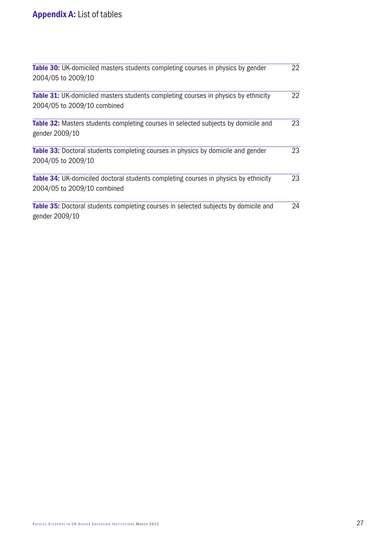| <b>Table 30:</b> UK-domiciled masters students completing courses in physics by gender                                    | 22 |
|---------------------------------------------------------------------------------------------------------------------------|----|
| 2004/05 to 2009/10                                                                                                        |    |
| <b>Table 31:</b> UK-domiciled masters students completing courses in physics by ethnicity                                 | 22 |
| 2004/05 to 2009/10 combined                                                                                               |    |
| Table 32: Masters students completing courses in selected subjects by domicile and<br>gender 2009/10                      | 23 |
| <b>Table 33:</b> Doctoral students completing courses in physics by domicile and gender<br>2004/05 to 2009/10             | 23 |
| <b>Table 34:</b> UK-domiciled doctoral students completing courses in physics by ethnicity<br>2004/05 to 2009/10 combined | 23 |
| <b>Table 35:</b> Doctoral students completing courses in selected subjects by domicile and<br>gender 2009/10              | 24 |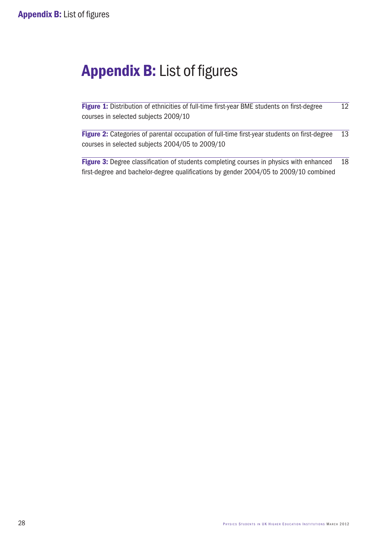## Appendix B: List of figures

Figure 1: Distribution of ethnicities of full-time first-year BME students on first-degree 12 courses in selected subjects 2009/10

Figure 2: Categories of parental occupation of full-time first-year students on first-degree 13 courses in selected subjects 2004/05 to 2009/10

Figure 3: Degree classification of students completing courses in physics with enhanced 18 first-degree and bachelor-degree qualifications by gender 2004/05 to 2009/10 combined